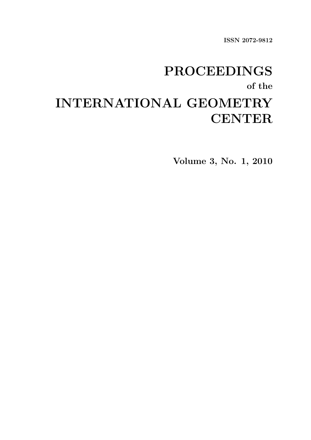ISSN 2072-9812

# PROCEEDINGS of the INTERNATIONAL GEOMETRY **CENTER**

Volume 3, No. 1, 2010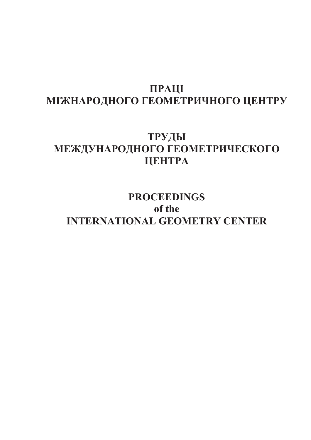# **ПРАЦІ** МІЖНАРОДНОГО ГЕОМЕТРИЧНОГО ЦЕНТРУ

# **-**  МЕЖДУНАРОДНОГО ГЕОМЕТРИЧЕСКОГО **LIEHTPA**

**PROCEEDINGS of the INTERNATIONAL GEOMETRY CENTER**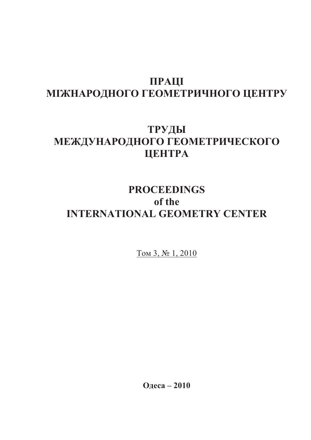# **ПРАЦІ** МІЖНАРОДНОГО ГЕОМЕТРИЧНОГО ЦЕНТРУ

# **-**  МЕЖДУНАРОДНОГО ГЕОМЕТРИЧЕСКОГО **LIEHTPA**

# **PROCEEDINGS of the INTERNATIONAL GEOMETRY CENTER**

<u>Том 3, № 1, 2010</u>

 **– 2010**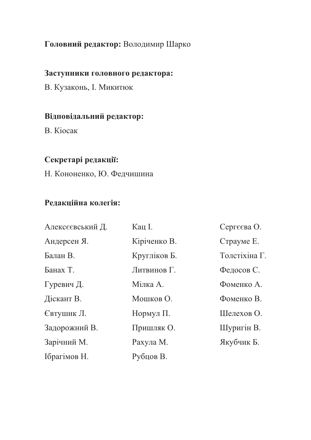## Головний редактор: Володимир Шарко

## Заступники головного редактора:

В. Кузаконь, І. Микитюк

## Відповідальний редактор:

B. Kiocak

## Секретарі редакції:

Н. Кононенко, Ю. Федчишина

## Редакційна колегія:

| Алексєєвський Д. | Кац I.       | Сергєєва О.   |
|------------------|--------------|---------------|
| Андерсен Я.      | Кіріченко В. | Страуме Е.    |
| Балан В.         | Кругліков Б. | Толстіхіна Г. |
| Банах Т.         | Литвинов Г.  | Федосов С.    |
| Гуревич Д.       | Мілка А.     | Фоменко А.    |
| Діскант В.       | Мошков О.    | Фоменко В.    |
| Євтушик Л.       | Нормул П.    | Шелехов О.    |
| Задорожний В.    | Пришляк О.   | Шуригін В.    |
| Зарічний М.      | Рахула М.    | Якубчик Б.    |
| Ібрагімов Н.     | Рубцов В.    |               |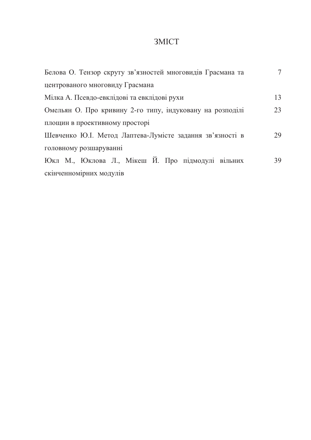## 3MICT

| Белова О. Тензор скруту зв'язностей многовидів Грасмана та | $\tau$ |
|------------------------------------------------------------|--------|
| центрованого многовиду Грасмана                            |        |
| Мілка А. Псевдо-евклідові та евклідові рухи                | 13     |
| Омельян О. Про кривину 2-го типу, індуковану на розподілі  | 23     |
| площин в проективному просторі                             |        |
| Шевченко Ю.І. Метод Лаптева-Лумісте задання зв'язності в   | 29     |
| головному розшаруванні                                     |        |
| Юкл М., Юклова Л., Мікеш Й. Про підмодулі вільних          | 39     |
| скінченномірних модулів                                    |        |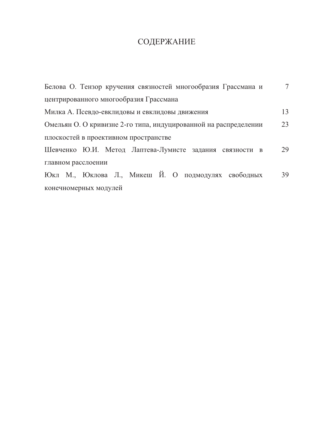# СОДЕРЖАНИЕ

| Белова О. Тензор кручения связностей многообразия Грассмана и    | 7  |
|------------------------------------------------------------------|----|
| центрированного многообразия Грассмана                           |    |
| Милка А. Псевдо-евклидовы и евклидовы движения                   | 13 |
| Омельян О. О кривизне 2-го типа, индуцированной на распределении | 23 |
| плоскостей в проективном пространстве                            |    |
| Шевченко Ю.И. Метод Лаптева-Лумисте задания связности в          | 29 |
| главном расслоении                                               |    |
| Юкл М., Юклова Л., Микеш Й. О подмодулях свободных               | 39 |
| конечномерных модулей                                            |    |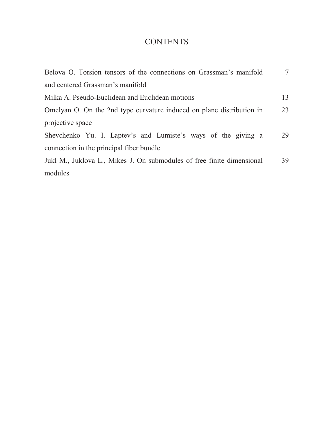## **CONTENTS**

| Belova O. Torsion tensors of the connections on Grassman's manifold    | 7  |
|------------------------------------------------------------------------|----|
| and centered Grassman's manifold                                       |    |
| Milka A. Pseudo-Euclidean and Euclidean motions                        | 13 |
| Omelyan O. On the 2nd type curvature induced on plane distribution in  | 23 |
| projective space                                                       |    |
| Shevchenko Yu. I. Laptev's and Lumiste's ways of the giving a          | 29 |
| connection in the principal fiber bundle                               |    |
| Jukl M., Juklova L., Mikes J. On submodules of free finite dimensional | 39 |
| modules                                                                |    |
|                                                                        |    |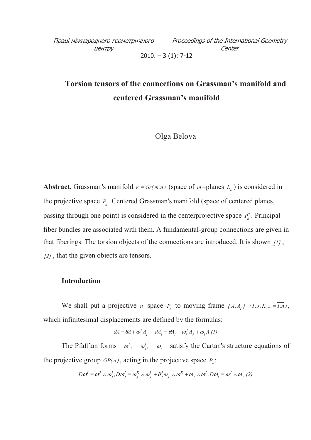$2010. - 3(1): 7-12$ 

# **Torsion tensors of the connections on Grassman's manifold and centered Grassman's manifold**

## Olga Belova

**Abstract.** Grassman's manifold  $V = Gr(m,n)$  (space of  $m$ -planes  $L_m$ ) is considered in the projective space  $P_n$ . Centered Grassman's manifold (space of centered planes, passing through one point) is considered in the centerprojective space  $P_n^*$ . Principal fiber bundles are associated with them. A fundamental-group connections are given in that fiberings. The torsion objects of the connections are introduced. It is shown *[1]* , *[2]* , that the given objects are tensors.

### **Introduction**

We shall put a projective *n*-space  $P_n$  to moving frame  $\{A, A_j\}$   $(I, J, K, \dots = \overline{I, n})$ , which infinitesimal displacements are defined by the formulas:

$$
dA = \theta A + \omega^I A_I, \quad dA_I = \theta A_I + \omega_I^J A_J + \omega_I A.(1)
$$

The Pfaffian forms  $\omega^I$ ,  $\omega^I$ ,  $\omega_j^I$ ,  $\omega_i$  satisfy the Cartan's structure equations of the projective group  $GP(n)$ , acting in the projective space  $P_n$ :

$$
D\omega^I = \omega^J \wedge \omega^I, D\omega^I_J = \omega^K_J \wedge \omega^I_K + \delta^I_J \omega^I_K \wedge \omega^K + \omega^I_J \wedge \omega^I, D\omega^I_J = \omega^J_I \wedge \omega^I_J
$$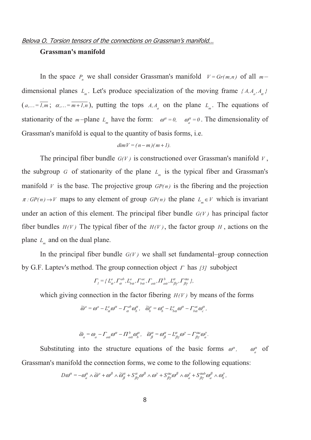### Belova O. Torsion tensors of the connections on Grassman's manifold...

### **Grassman's manifold**

In the space  $P_n$  we shall consider Grassman's manifold  $V = Gr(m,n)$  of all  $m$ dimensional planes  $L_m$ . Let's produce specialization of the moving frame  $\{A, A_a, A_\alpha\}$  $(a,...=\overline{I,m}; \alpha,...=\overline{m+I,n})$ , putting the tops  $A, A_a$  on the plane  $L_m$ . The equations of stationarity of the *m*-plane  $L_m$  have the form:  $\omega^{\alpha} = 0$ ,  $\omega_a^{\alpha} = 0$ . The dimensionality of Grassman's manifold is equal to the quantity of basis forms, i.e.

$$
dim V = (n-m)(m+1).
$$

The principal fiber bundle  $G(V)$  is constructioned over Grassman's manifold *V*, the subgroup *G* of stationarity of the plane  $L_m$  is the typical fiber and Grassman's manifold *V* is the base. The projective group  $GP(n)$  is the fibering and the projection  $\pi : GP(n) \to V$  maps to any element of group  $GP(n)$  the plane  $L_m \in V$  which is invariant under an action of this element. The principal fiber bundle  $G(V)$  has principal factor fiber bundles  $H(V)$  The typical fiber of the  $H(V)$ , the factor group *H*, actions on the plane  $L_m$  and on the dual plane.

In the principal fiber bundle  $G(V)$  we shall set fundamental–group connection by G.F. Laptev's method. The group connection object Γ has *[3]* subobject

$$
\Gamma_1 = \{L^a_\alpha, \Gamma^{ab}_\alpha, L^a_{b\alpha}, \Gamma^{ac}_{b\alpha}, \Gamma_{a\alpha}, \Pi^b_{a\alpha}, L^{\alpha}_{\beta\gamma}, \Gamma^{0a}_{\beta\gamma}\},\
$$

which giving connection in the factor fibering  $H(V)$  by means of the forms

$$
\widetilde{\omega}^a = \omega^a - L^a_\alpha \omega^\alpha - \Gamma^{ab}_\alpha \omega^\alpha_\beta, \quad \widetilde{\omega}^a_\beta = \omega^a_\beta - L^a_{b\alpha} \omega^\alpha - \Gamma^{ac}_{b\alpha} \omega^\alpha_\beta,
$$

$$
\widetilde{\omega}_a = \omega_a - \Gamma_{aa} \omega^{\alpha} - \Pi_{aa}^b \omega_b^{\alpha}, \quad \widetilde{\omega}_{\beta}^{\alpha} = \omega_{\beta}^{\alpha} - L_{\beta\gamma}^{\alpha} \omega^{\gamma} - \Gamma_{\beta\gamma}^{\alpha a} \omega_a^{\gamma}.
$$

Substituting into the structure equations of the basic forms  $\omega^{\alpha}$ ,  $\omega^{\alpha}$  of Grassman's manifold the connection forms, we come to the following equations:

$$
D\omega^{\alpha} = -\omega_{a}^{\alpha} \wedge \widetilde{\omega}^{a} + \omega^{\beta} \wedge \widetilde{\omega}_{\beta}^{\alpha} + S_{\beta\gamma}^{\alpha} \omega^{\beta} \wedge \omega^{\gamma} + S_{\beta\gamma}^{\alpha a} \omega^{\beta} \wedge \omega_{a}^{\gamma} + S_{\beta\gamma}^{\alpha a b} \omega_{a}^{\beta} \wedge \omega_{b}^{\gamma},
$$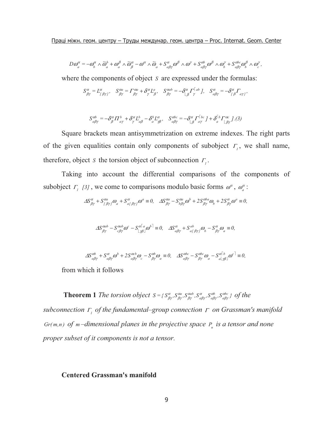$$
D\omega_a^{\alpha} = -\omega_b^{\alpha} \wedge \widetilde{\omega}_a^b + \omega_a^{\beta} \wedge \widetilde{\omega}_\beta^{\alpha} - \omega^{\alpha} \wedge \widetilde{\omega}_a + S_{a\beta\gamma}^{\alpha} \omega^{\beta} \wedge \omega^{\gamma} + S_{a\beta\gamma}^{ab} \omega^{\beta} \wedge \omega^{\gamma} + S_{a\beta\gamma}^{abc} \omega^{\beta} \wedge \omega^{\gamma}.
$$

where the components of object *S* are expressed under the formulas:

$$
S^{\alpha}_{\beta\gamma} = L^{\alpha}_{[\beta\gamma]}, \quad S^{\alpha a}_{\beta\gamma} = \Gamma^{\alpha a}_{\beta\gamma} + \delta^{\alpha}_{\gamma} L^a_{\beta}, \quad S^{\alpha ab}_{\beta\gamma} = -\delta^{\alpha}_{[\beta} \Gamma^{[ab}_{\gamma}], \quad S^{\alpha}_{a\beta\gamma} = -\delta^{\alpha}_{[\beta} \Gamma_{a\gamma]},
$$

$$
S_{a\beta\gamma}^{ab} = -\delta^{\alpha}_{\beta} \Pi^{b}_{\alpha\gamma} + \delta^{\alpha}_{\gamma} L^{b}_{\alpha\beta} - \delta^{b}_{a} L^{\alpha}_{\gamma\beta}, \quad S_{a\beta\gamma}^{abc} = -\delta^{\alpha}_{\lfloor \beta \rfloor} \Gamma^{\lceil bc}_{\alpha\gamma} \left[ J + \delta^{\lceil b}_{a} \Gamma^{\alpha c}_{\lfloor \beta \gamma \rfloor} J \right].
$$

Square brackets mean antisymmetrization on extreme indexes. The right parts of the given equalities contain only components of subobject  $\Gamma$ <sub>*l*</sub>, we shall name, therefore, object *S* the torsion object of subconnection  $\Gamma_i$ .

Taking into account the differential comparisons of the components of subobject  $\Gamma_1$  [3], we come to comparisons modulo basic forms  $\omega^{\alpha}$ ,  $\omega^{\alpha}_a$ :

$$
\Delta S^{\alpha}_{\beta\gamma} + S^{\alpha a}_{[\beta\gamma]} \omega_a + S^{\alpha}_{a[\beta\gamma]} \omega^a \equiv 0, \quad \Delta S^{\alpha a}_{\beta\gamma} - S^{\alpha a}_{b\beta\gamma} \omega^b + 2 S^{\alpha b a}_{\beta\gamma} \omega_b + 2 S^{\alpha}_{\beta\gamma} \omega^a \equiv 0,
$$

$$
\Delta S_{\beta\gamma}^{\alpha ab} - S_{c\beta\gamma}^{\alpha ab} \omega^c - S_{\lfloor \beta \beta \rfloor}^{\alpha \lceil a \rceil} \omega^{b\rceil} \equiv 0, \quad \Delta S_{a\beta\gamma}^{\alpha} + S_{a\lfloor \beta\gamma \rfloor}^{\alpha b} \omega_b - S_{\beta\gamma}^{\alpha} \omega_a \equiv 0,
$$

$$
\Delta S_{a\beta\gamma}^{ab} + S_{a\beta\gamma}^{\alpha} \omega^b + 2 S_{a\beta\gamma}^{\alpha c b} \omega_c - S_{\beta\gamma}^{\alpha b} \omega_a \equiv 0, \quad \Delta S_{a\beta\gamma}^{\alpha b c} - S_{\beta\gamma}^{\alpha b c} \omega_a - S_{a\lfloor \gamma \beta \rfloor}^{\alpha \lfloor \gamma \rfloor} \omega^{c \rceil} \equiv 0,
$$

from which it follows

**Theorem 1** *The torsion object*  $S = \{S_{\beta\gamma}^{\alpha}, S_{\beta\gamma}^{\alpha a}, S_{\beta\gamma}^{\alpha a b}, S_{\beta\gamma}^{\alpha b}, S_{\beta\gamma}^{\alpha b} \}$ *a b a a a αab α ααb αa*  $\frac{\alpha}{\beta\gamma}$ ,  $S_{\beta\gamma}^{aa}$ ,  $S_{\alpha\beta\gamma}^{a}$ ,  $S_{\alpha\beta\gamma}^{ab}$ ,  $S_{\alpha\beta\gamma}^{abc}$  } of the *subconnection <sup>1</sup>* <sup>Γ</sup> *of the fundamental–group connection* Γ *on Grassman's manifold Gr*( $m,n$ ) of  $m$  –dimensional planes in the projective space  $P_n$  is a tensor and none *proper subset of it components is not a tensor.* 

### **Centered Grassman's manifold**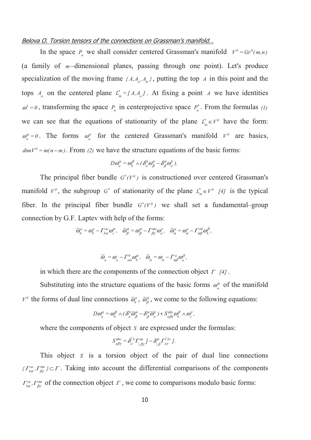### Belova O. Torsion tensors of the connections on Grassman's manifold...

In the space  $P_n$  we shall consider centered Grassman's manifold  $V^0 = Gr^0(m,n)$ (a family of  $m$ -dimensional planes, passing through one point). Let's produce specialization of the moving frame  $\{A, A_{a}, A_{\alpha}\}$ , putting the top *A* in this point and the tops  $A_a$  on the centered plane  $L_m^* = [A, A_a]$  $\mathcal{L}_{m}^{*} = [A, A_a]$ . At fixing a point *A* we have identities  $\omega^I = 0$ , transforming the space  $P_n$  in centerprojective space  $P_n^*$ . From the formulas *(1)* we can see that the equations of stationarity of the plane  $L^*_{m} \in V^0$  have the form:  $\omega_a^{\alpha} = 0$ . The forms  $\omega_a^{\alpha}$  for the centered Grassman's manifold  $V^{\alpha}$  are basics,  $dim V^0 = m(n-m)$ . From (2) we have the structure equations of the basic forms:

$$
D\omega_a^{\alpha} = \omega_b^{\beta} \wedge (\delta_a^b \omega_{\beta}^{\alpha} - \delta_{\beta}^{\alpha} \omega_a^b).
$$

The principal fiber bundle  $G^*(V^0)$  is constructioned over centered Grassman's manifold  $V^0$ , the subgroup  $G^*$  of stationarity of the plane  $L^*_{m} \in V^0$  [4] is the typical fiber. In the principal fiber bundle  $G^*(V^0)$  we shall set a fundamental–group connection by G.F. Laptev with help of the forms:

$$
\widetilde{\omega}_{b}^{a} = \omega_{b}^{a} - \Gamma_{b\alpha}^{ac}\omega_{c}^{\alpha}, \quad \widetilde{\omega}_{\beta}^{\alpha} = \omega_{\beta}^{\alpha} - \Gamma_{\beta\gamma}^{\alpha a}\omega_{a}^{\gamma}, \quad \widetilde{\omega}_{\alpha}^{a} = \omega_{\alpha}^{a} - \Gamma_{\alpha\beta}^{ab}\omega_{b}^{\beta},
$$

$$
\widetilde{\omega}_a = \omega_a - \Gamma^b_{a\alpha}\omega_b^\alpha, \quad \widetilde{\omega}_\alpha = \omega_\alpha - \Gamma^a_{\alpha\beta}\omega_a^\beta,
$$

in which there are the components of the connection object <sup>Γ</sup> *[4]* .

Substituting into the structure equations of the basic forms  $\omega_a^{\alpha}$  of the manifold  $V^{\theta}$  the forms of dual line connections  $\tilde{\omega}_{\beta}^{\alpha}$ ,  $\tilde{\omega}_{\beta}^{\alpha}$ , we come to the following equations:

$$
D\omega_a^{\alpha} = \omega_b^{\beta} \wedge (\delta_a^b \widetilde{\omega}_{\beta}^{\alpha} - \delta_{\beta}^{\alpha} \widetilde{\omega}_a^b) + S_{a\beta\gamma}^{abc} \omega_b^{\beta} \wedge \omega_c^{\gamma},
$$

where the components of object *S* are expressed under the formulas:

$$
S_{a\beta\gamma}^{abc} = \delta_a^{\lceil b} \Gamma_{\lfloor \beta\gamma \rfloor}^{ac} J - \delta_{\lfloor \beta \rfloor}^{ac} \Gamma_{a\gamma}^{\lceil bc \rceil} J.
$$

This object *S* is a torsion object of the pair of dual line connections  $\{\Gamma^{ac}_{ba}, \Gamma^{ca}_{\beta\gamma}\}\subset \Gamma$  $T_{ba}^{ac}, T_{\beta\gamma}^{ca} \in \Gamma$ . Taking into account the differential comparisons of the components *ac*  $\Gamma$ <sup>*aa*</sup>  $\int_{b\alpha}^{ac}$ ,  $\int_{\beta\gamma}^{\alpha a}$  of the connection object  $\Gamma$ , we come to comparisons modulo basic forms: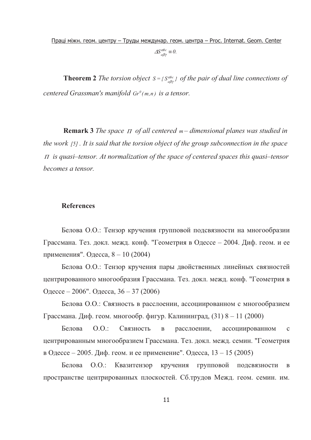**Theorem 2** *The torsion object*  $S = \{S_{a\alpha y}^{abc}\}$ *a* α βγ  *of the pair of dual line connections of centered Grassman's manifold*  $Gr^{0}(m,n)$  *is a tensor.* 

**Remark 3** *The space* Π *of all centered m – dimensional planes was studied in the work [5] . It is said that the torsion object of the group subconnection in the space*  <sup>Π</sup> *is quasi–tensor. At normalization of the space of centered spaces this quasi–tensor becomes a tensor.* 

### **References**

Белова О.О.: Тензор кручения групповой подсвязности на многообразии Грассмана. Тез. докл. межд. конф. "Геометрия в Одессе - 2004. Диф. геом. и ее применения". Одесса, 8 - 10 (2004)

Белова О.О.: Тензор кручения пары двойственных линейных связностей центрированного многообразия Грассмана. Тез. докл. межд. конф. "Геометрия в Одессе – 2006". Одесса, 36 – 37 (2006)

Белова О.О.: Связность в расслоении, ассоциированном с многообразием Грассмана. Диф. геом. многообр. фигур. Калининград,  $(31)$  8 – 11  $(2000)$ 

Белова О.О.: Связность в расслоении, ассоциированном с центрированным многообразием Грассмана. Тез. докл. межд. семин. "Геометрия в Одессе – 2005. Диф. геом. и ее применение". Одесса,  $13 - 15$  (2005)

Белова  $0.0$ .: итенз ор кручения групповой подсвяз подсвязности в пространстве центрированных плоскостей. Сб.трудов Межд. геом. семин. им.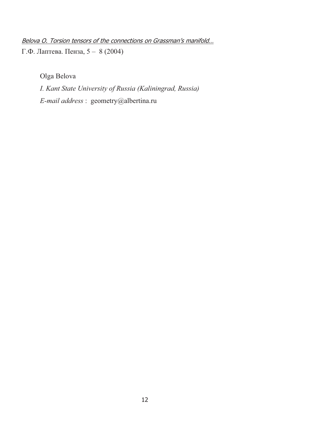Belova O. Torsion tensors of the connections on Grassman's manifold...  $\Gamma$ .Ф. Лаптева. Пенза, 5 – 8 (2004)

Olga Belova

*I. Kant State University of Russia (Kaliningrad, Russia) E-mail address* : geometry@albertina.ru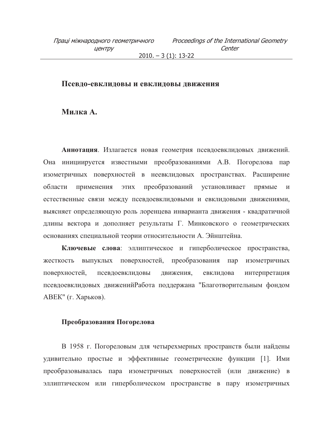$2010. - 3(1): 13-22$ 

### Псевдо-евклидовы и евклидовы движения

### Милка А.

Аннотация. Излагается новая геометрия псевдоевклидовых движений. Она инициируется известными преобразованиями А.В. Погорелова пар изометричных поверхностей в неевклидовых пространствах. Расширение преобразований установливает области применения ЭТИХ прямые  $\mathbf{u}$ естественные связи между псевдоевклидовыми и евклидовыми движениями, выясняет определяющую роль лоренцева инварианта движения - квадратичной длины вектора и дополняет результаты Г. Минковского о геометрических основаниях специальной теории относительности А. Эйнштейна.

Ключевые слова: эллиптическое и гиперболическое пространства, выпуклых поверхностей, преобразования пар изометричных жесткость поверхностей, псевдоевклидовы движения, евклидова интерпретация псевдоевклидовых движений Работа поддержана "Благотворительным фондом АВЕК" (г. Харьков).

### Преобразования Погорелова

В 1958 г. Погореловым для четырехмерных пространств были найдены удивительно простые и эффективные геометрические функции [1]. Ими преобразовывалась пара изометричных поверхностей (или движение) в эллиптическом или гиперболическом пространстве в пару изометричных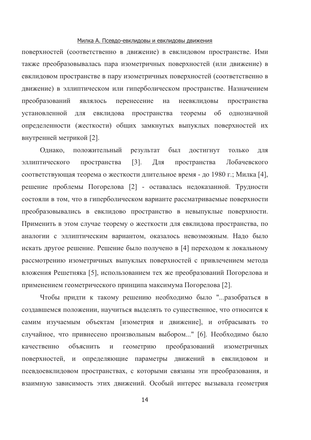#### Милка А. Псевдо-евклидовы и евклидовы движения

поверхностей (соответственно в движение) в евклидовом пространстве. Ими также преобразовывалась пара изометричных поверхностей (или движение) в евклидовом пространстве в пару изометричных поверхностей (соответственно в движение) в эллиптическом или гиперболическом пространстве. Назначением перенесение преобразований являлось на неевклидовы пространства установленной для евклидова пространства теоремы  $\overline{00}$ однозначной определенности (жесткости) общих замкнутых выпуклых поверхностей их внутренней метрикой [2].

Однако, положительный результат был достигнут только ДЛЯ эллиптического пространства  $\lceil 3 \rceil$ . Для пространства Лобачевского соответствующая теорема о жесткости длительное время - до 1980 г.; Милка [4], решение проблемы Погорелова [2] - оставалась недоказанной. Трудности состояли в том, что в гиперболическом варианте рассматриваемые поверхности преобразовывались в евклидово пространство в невыпуклые поверхности. Применить в этом случае теорему о жесткости для евклидова пространства, по аналогии с эллиптическим вариантом, оказалось невозможным. Надо было искать другое решение. Решение было получено в [4] переходом к локальному рассмотрению изометричных выпуклых поверхностей с привлечением метода вложения Решетняка [5], использованием тех же преобразований Погорелова и применением геометрического принципа максимума Погорелова [2].

Чтобы придти к такому решению необходимо было "... разобраться в создавшемся положении, научиться выделять то существенное, что относится к самим изучаемым объектам [изометрия и движение], и отбрасывать то случайное, что привнесено произвольным выбором..." [6]. Необходимо было объяснить геометрию преобразований качественно  $\,$  M изометричных поверхностей, и определяющие параметры движений в евклидовом и псевдоевклидовом пространствах, с которыми связаны эти преобразования, и взаимную зависимость этих движений. Особый интерес вызывала геометрия

 $14$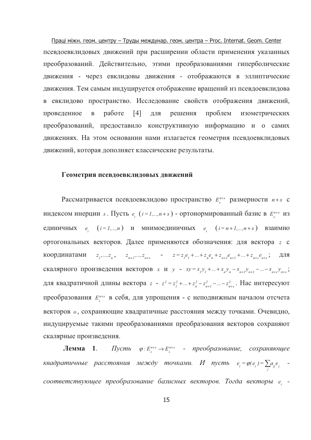Праці міжн. геом. центру - Труды междунар. геом. центра - Proc. Internat. Geom. Center псевдоевклидовых движений при расширении области применения указанных преобразований. Действительно, этими преобразованиями гиперболические движения - через евклидовы движения - отображаются в эллиптические движения. Тем самым индуцируется отображение вращений из псевдоевклидова в евклидово пространство. Исследование свойств отображения движений, проведенное работе  $\lceil 4 \rceil$ ДЛЯ решения проблем изометрических  $\mathbf{B}$ преобразований, предоставило конструктивную информацию и о самих движениях. На этом основании нами излагается геометрия псевдоевклидовых движений, которая дополняет классические результаты.

#### Геометрия псевдоевклидовых движений

Рассматривается псевдоевклидово пространство  $E_{s}^{n+s}$  размерности  $n+s$  с индексом инерции s. Пусть  $e_i$  ( $i = 1,...,n+s$ ) - ортонормированный базис в  $E_s^{n+s}$  из единичных  $e_i$   $(i=1,...,n)$  и мнимоединичных  $e_i$   $(i=n+1,...,n+s)$  взаимно ортогональных векторов. Далее применяются обозначения: для вектора z с  $z_1,...,z_n$ ,  $z_{n+1},...,z_{n+s}$  -  $z=z_1e_1+...+z_ne_n+z_{n+1}e_{n+1}+...+z_{n+s}e_{n+s}$ ;  $\Box \Box$ координатами скалярного произведения векторов *х* и *y* -  $xy = x_1y_1 + ... + x_ny_n - x_{n+1}y_{n+1} - ... - x_{n+s}y_{n+s}$ ; для квадратичной длины вектора  $z - z^2 = z_1^2 + ... + z_n^2 - z_{n+1}^2 - ... - z_{n+s}^2$ . Нас интересуют преобразования  $E_s^{n+s}$  в себя, для упрощения - с неподвижным началом отсчета векторов о, сохраняющие квадратичные расстояния между точками. Очевидно, индуцируемые такими преобразованиями преобразования векторов сохраняют скалярные произведения.

Пусть  $\varphi: E_s^{n+s} \to E_s^{n+s}$  - преобразование, сохраняющее  $J$ **Lemma**  $1$ . квадратичные расстояния между точками. И пусть  $e_i = \varphi(e_i) = \sum_{j} a_{ij} e_j$  соответствующее преобразование базисных векторов. Тогда векторы е -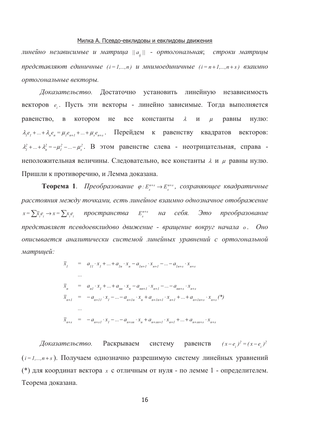#### Милка А. Псевдо-евклидовы и евклидовы движения

линейно независимые и матрица  $||a_{ij}||$  - ортогональная; строки матрицы представляют единичные  $(i = 1,...,n)$  и мнимоединичные  $(i = n+1,...,n+s)$  взаимно ортогональные векторы.

Доказательство. Достаточно установить линейную независимость векторов е. Пусть эти векторы - линейно зависимые. Тогда выполняется равенство, в котором не константы **BCC**  $\lambda$  $\overline{M}$  $\mu$ равны нулю:  $\lambda_i e_i + ... + \lambda_n e_n = \mu_i e_{n+1} + ... + \mu_i e_{n+s}$ . Перейдем к равенству квадратов векторов:  $\lambda_1^2 + ... + \lambda_n^2 = -\mu_1^2 - ... - \mu_s^2$ . В этом равенстве слева - неотрицательная, справа неположительная величины. Следовательно, все константы  $\lambda$  и  $\mu$  равны нулю. Пришли к противоречию, и Лемма доказана.

**Теорема 1.** Преобразование  $\varphi: E_s^{n+s} \to E_s^{n+s}$ , сохраняющее квадратичные расстояния между точками, есть линейное взаимно однозначное отображение  $x = \sum \bar{x}_{i}e_{i} \rightarrow x = \sum x_{i}e_{i}$  пространства  $E_{s}^{n+s}$  на себя. Это преобразование представляет псевдоевклидово движение - врашение вокруг начала о. Оно описывается аналитически системой линейных уравнений с ортогональной матрицей:

$$
\overline{x}_{1} = a_{11} \cdot x_{1} + \dots + a_{1n} \cdot x_{n} - a_{1n+1} \cdot x_{n+1} - \dots - a_{1n+s} \cdot x_{n+s}
$$
\n...\n
$$
\overline{x}_{n} = a_{n1} \cdot x_{1} + \dots + a_{nn} \cdot x_{n} - a_{nn+1} \cdot x_{n+1} - \dots - a_{nn+s} \cdot x_{n+s}
$$
\n
$$
\overline{x}_{n+1} = -a_{n+11} \cdot x_{1} - \dots - a_{n+1n} \cdot x_{n} + a_{n+1n+1} \cdot x_{n+1} + \dots + a_{n+1n+s} \cdot x_{n+s}
$$
\n...\n
$$
\overline{x}_{n+s} = -a_{n+si} \cdot x_{1} - \dots - a_{n+sn} \cdot x_{n} + a_{n+sn+1} \cdot x_{n+1} + \dots + a_{n+sn+s} \cdot x_{n+s}
$$

Доказательство. Раскрываем систему pabelle TB  $(x-e_i)^2 = (x-e_i)^2$  $(i=1,...,n+s)$ . Получаем однозначно разрешимую систему линейных уравнений (\*) для координат вектора  $x$  с отличным от нуля - по лемме 1 - определителем. Теорема доказана.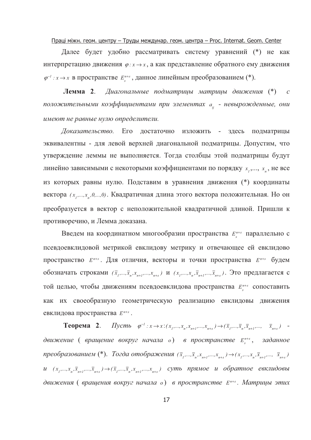#### Праці міжн. геом. центру - Труды междунар. геом. центра - Proc. Internat. Geom. Center

Далее будет удобно рассматривать систему уравнений (\*) не как интерпретацию движения  $\varphi: x \to x$ , а как представление обратного ему движения  $\varphi^{-1}: x \to x$  в пространстве  $E^{n+s}_s$ , данное линейным преобразованием (\*).

Лемма 2. Диагональные подматрицы матрицы движения (\*)  $\mathcal{C}$ положительными коэффициентами при элементах  $a_{ij}$  - невырожденные, они имеют не равные нулю определители.

Доказательство. Его достаточно изложить здесь подматрицы эквивалентны - для левой верхней диагональной подматрицы. Допустим, что утверждение леммы не выполняется. Тогда столбцы этой подматрицы будут линейно зависимыми с некоторыми коэффициентами по порядку  $x_1, ..., x_n$ , не все из которых равны нулю. Подставим в уравнения движения (\*) координаты вектора ( $x_1, \ldots, x_n, 0, \ldots, 0$ ). Квадратичная длина этого вектора положительная. Но он преобразуется в вектор с неположительной квадратичной длиной. Пришли к противоречию, и Лемма доказана.

Введем на координатном многообразии пространства  $E_s^{n+s}$  параллельно с псевдоевклидовой метрикой евклидову метрику и отвечающее ей евклидово пространство  $E^{n+s}$ . Для отличия, векторы и точки пространства  $E^{n+s}$  будем обозначать строками  $(\bar{x}_1,...,\bar{x}_n,x_{n+1},...,x_{n+s})$  и  $(x_1,...,x_n,\bar{x}_{n+1},...,\bar{x}_{n+s})$ . Это предлагается с той целью, чтобы движениям псевдоевклидова пространства  $E_s^{n+s}$  сопоставить как их своеобразную геометрическую реализацию евклидовы движения евклидова пространства  $E^{n+s}$ .

**Teopema 2.** *Hycmb*  $\varphi^{-1}: x \to x: (x_1,...,x_n, x_{n+1},...,x_{n+s}) \to (\bar{x}_1,..., \bar{x}_n, \bar{x}_{n+1},..., \bar{x}_{n+s})$  движение (вращение вокруг начала о) в пространстве  $E_s^{n+s}$ , заданное преобразованием (\*). Тогда отображения ( $\bar{x}_1,...,\bar{x}_n,x_{n+1},...,x_{n+s}$ )  $\rightarrow$ ( $x_1,...,x_n,\bar{x}_{n+1},..., \bar{x}_{n+s}$ )  $u(x_1,...,x_n,\overline{x}_{n+1},..., \overline{x}_{n+s}) \rightarrow (\overline{x}_1,...,\overline{x}_n,x_{n+1},...,x_{n+s})$  суть прямое и обратное евклидовы движения (вращения вокруг начала о) в пространстве  $E^{n+s}$ . Матрицы этих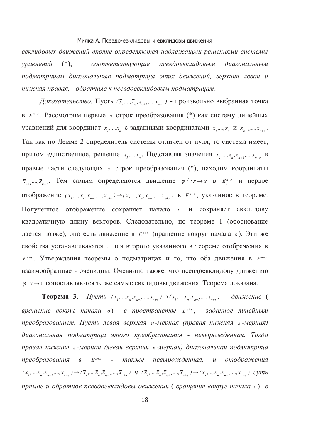#### Милка А. Псевдо-евклидовы и евклидовы движения

евклидовых движений вполне определяются надлежащми решениями системы  $(*);$ соответствующие псевдоевклидовым уравнений диагональным подматрицам диагональные подматрицы этих движений, верхняя левая и нижняя правая, - обратные к псевдоевклидовым подматрицам.

Доказательство. Пусть  $(\bar{x}_1,...,\bar{x}_n,x_{n+1},...,x_{n+s})$  - произвольно выбранная точка в  $E^{n+s}$ . Рассмотрим первые *п* строк преобразования (\*) как систему линейных уравнений для координат  $x_1,...,x_n$  с заданными координатами  $\bar{x}_1,...,\bar{x}_n$  и  $x_{n+1},...,x_{n+s}$ . Так как по Лемме 2 определитель системы отличен от нуля, то система имеет. притом единственное, решение  $x_1,...,x_n$ . Подставляя значения  $x_1,...,x_n, x_{n+1},...,x_{n+s}$  в правые части следующих *s* строк преобразования (\*), находим координаты  $\bar{x}_{n+1},...,\bar{x}_{n+s}$ . Тем самым определяются движение  $\varphi^{-1}:x\to x$  в  $E_s^{n+s}$  и первое отображение  $(\bar{x}_1,...,\bar{x}_n,x_{n+1},...,x_{n+s}) \rightarrow (x_1,...,x_n,\bar{x}_{n+1},...,\bar{x}_{n+s})$  в  $E^{n+s}$ , указанное в теореме. Полученное отображение сохраняет начало о и сохраняет евклидову квадратичную длину векторов. Следовательно, по теореме 1 (обоснование дается позже), оно есть движение в  $E^{n+s}$  (вращение вокруг начала  $o$ ). Эти же свойства устанавливаются и для второго указанного в теореме отображения в  $E^{n+s}$ . Утверждения теоремы о подматрицах и то, что оба движения в  $E^{n+s}$ взаимообратные - очевидны. Очевидно также, что псевдоевклидову движению  $\varphi: x \to x$  сопоставляются те же самые евклидовы движения. Теорема доказана.

**Теорема 3.** Пусть  $(\bar{x}_1,...,\bar{x}_n,x_{n+1},...,x_{n+s}) \rightarrow (x_1,...,x_n,\bar{x}_{n+1},...,\bar{x}_{n+s})$  - движение ( вращение вокруг начала о) в пространстве  $E^{n+s}$ , заданное линейным преобразованием. Пусть левая верхняя n-мерная (правая нижняя s-мерная) диагональная подматрица этого преобразования - невырожденная. Тогда правая нижняя s-мерная (левая верхняя n-мерная) диагональная подматрица преобразования в E<sup>n+s</sup> - также невырожденная, и отображения  $(x_1,...,x_n,x_{n+1},...,x_{n+s} )\to (\overline{x}_1,...,\overline{x}_n,\overline{x}_{n+1},...,\overline{x}_{n+s} )\; \;u\; \; (\overline{x}_1,...,\overline{x}_n,\overline{x}_{n+1},...,\overline{x}_{n+s} ) \to (x_1,...,x_n,x_{n+1},...,x_{n+s} ) \;\; cymb$ прямое и обратное псевдоевклидовы движения ( вращения вокруг начала о) в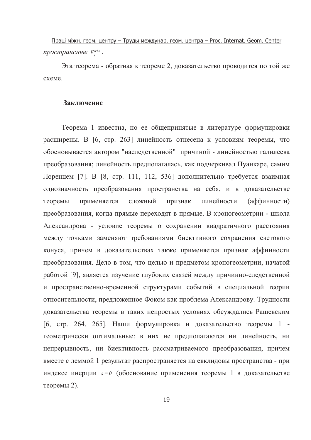Праці міжн. геом. центру - Труды междунар. геом. центра - Proc. Internat. Geom. Center пространстве  $E^{n+s}$ .

Эта теорема - обратная к теореме 2, доказательство проводится по той же схеме.

#### Заключение

Теорема 1 известна, но ее общепринятые в литературе формулировки расширены. В [6, стр. 263] линейность отнесена к условиям теоремы, что обосновывается автором "наследственной" причиной - линейностью галилеева преобразования; линейность предполагалась, как подчеркивал Пуанкаре, самим Лоренцем [7]. В [8, стр. 111, 112, 536] дополнительно требуется взаимная однозначность преобразования пространства на себя, и в доказательстве теоремы применяется сложный признак линейности (аффинности) преобразования, когда прямые переходят в прямые. В хроногеометрии - школа Александрова - условие теоремы о сохранении квадратичного расстояния между точками заменяют требованиями биективного сохранения светового конуса, причем в доказательствах также применяется признак аффинности преобразования. Дело в том, что целью и предметом хроногеометрии, начатой работой [9], является изучение глубоких связей между причинно-следственной и пространственно-временной структурами событий в специальной теории относительности, предложенное Фоком как проблема Александрову. Трудности доказательства теоремы в таких непростых условиях обсуждались Рашевским [6, стр. 264, 265]. Наши формулировка и доказательство теоремы 1 геометрически оптимальные: в них не предполагаются ни линейность, ни непрерывность, ни биективность рассматриваемого преобразования, причем вместе с леммой 1 результат распространяется на евклидовы пространства - при индексе инерции  $s = 0$  (обоснование применения теоремы 1 в доказательстве теоремы 2).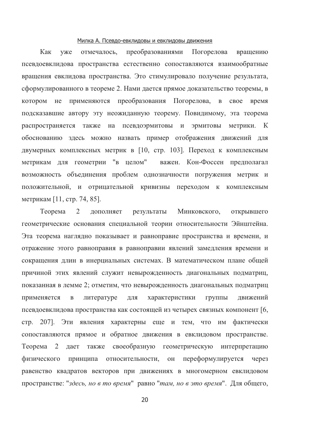#### Милка А. Псевдо-евклидовы и евклидовы движения

Как преобразованиями уже отмечалось, Погорелова вращению псевдоевклидова пространства естественно сопоставляются взаимообратные вращения евклидова пространства. Это стимулировало получение результата, сформулированного в теореме 2. Нами дается прямое доказательство теоремы, в применяются преобразования Погорелова, в свое время котором не подсказавшие автору эту неожиданную теорему. Повидимому, эта теорема распространяется также на псевдоэрмитовы и эрмитовы метрики. К обоснованию здесь можно назвать пример отображения движений для двумерных комплексных метрик в [10, стр. 103]. Переход к комплексным метрикам для геометрии "в целом" важен. Кон-Фоссен предполагал возможность объединения проблем однозначности погружения метрик и положительной, и отрицательной кривизны переходом к комплексным метрикам [11, стр. 74, 85].

открывшего Теорема 2 лополняет результаты Минковского, геометрические основания специальной теории относительности Эйнштейна. Эта теорема наглядно показывает и равноправие пространства и времени, и отражение этого равноправия в равноправии явлений замедления времени и сокращения длин в инерциальных системах. В математическом плане общей причиной этих явлений служит невырожденность диагональных подматриц, показанная в лемме 2; отметим, что невырожденность диагональных подматриц применяется  $\, {\bf B}$ литературе ДЛЯ характеристики группы движений псевдоевклидова пространства как состоящей из четырех связных компонент [6, стр. 207]. Эти явления характерны еще и тем, что им фактически сопоставляются прямое и обратное движения в евклидовом пространстве. Teopeмa 2 дает также своеобразную геометрическую интерпретацию физического принципа относительности, OH переформулируется через равенство квадратов векторов при движениях в многомерном евклидовом пространстве: "здесь, но в то время" равно "там, но в это время". Для общего,

20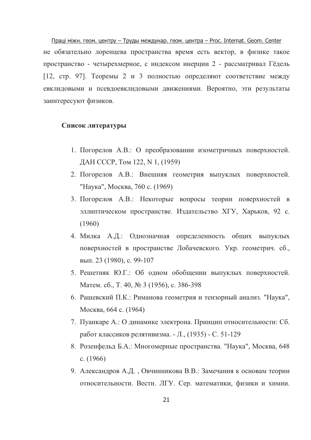Праці міжн. геом. центру - Труды междунар. геом. центра - Proc. Internat. Geom. Center не обязательно лоренцева пространства время есть вектор, в физике такое пространство - четырехмерное, с индексом инерции 2 - рассматривал Гёдель [12, стр. 97]. Теоремы 2 и 3 полностью определяют соответствие между евклидовыми и псевдоевклидовыми движениями. Вероятно, эти результаты заинтересуют физиков.

### Список литературы

- 1. Погорелов А.В.: О преобразовании изометричных поверхностей. ДАН СССР, Том 122, N 1, (1959)
- 2. Погорелов А.В.: Внешняя геометрия выпуклых поверхностей. "Наука", Москва, 760 с. (1969)
- 3. Погорелов А.В.: Некоторые вопросы теории поверхностей в эллиптическом пространстве. Издательство ХГУ, Харьков, 92 с.  $(1960)$
- 4. Милка А.Д.: Однозначная определенность общих выпуклых поверхностей в пространстве Лобачевского. Укр. геометрич. сб., вып. 23 (1980), с. 99-107
- 5. Решетняк Ю.Г.: Об одном обобщении выпуклых поверхностей. Матем. сб., Т. 40, № 3 (1956), с. 386-398
- 6. Рашевский П.К.: Риманова геометрия и тензорный анализ. "Наука", Москва, 664 с. (1964)
- 7. Пуанкаре А.: О динамике электрона. Принцип относительности: Сб. работ классиков релятивизма. - Л., (1935) - С. 51-129
- 8. Розенфельд Б.А.: Многомерные пространства. "Наука", Москва, 648 c.  $(1966)$
- 9. Александров А.Д., Овчинникова В.В.: Замечания к основам теории относительности. Вестн. ЛГУ. Сер. математики, физики и химии.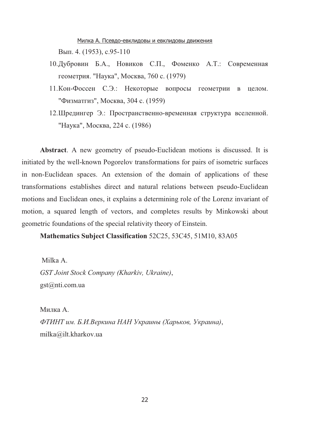<u>Милка А. Псевдо-евклидовы и евклидовы движения</u> . 4. (1953), c.95-110

- 10. Дубровин Б.А., Новиков С.П., Фоменко А.Т.: Современная геометрия. "Наука", Москва, 760 с. (1979)
- 11. Кон-Фоссен С.Э.: Некоторые вопросы геометрии в целом. "Физматгиз", Москва, 304 с. (1959)
- 12. Шредингер Э.: Пространственно-временная структура вселенной. "Наука", Москва, 224 с. (1986)

**Abstract**. A new geometry of pseudo-Euclidean motions is discussed. It is initiated by the well-known Pogorelov transformations for pairs of isometric surfaces in non-Euclidean spaces. An extension of the domain of applications of these transformations establishes direct and natural relations between pseudo-Euclidean motions and Euclidean ones, it explains a determining role of the Lorenz invariant of motion, a squared length of vectors, and completes results by Minkowski about geometric foundations of the special relativity theory of Einstein.

**Mathematics Subject Classification** 52C25, 53C45, 51M10, 83A05

 Milka A. *GST Joint Stock Company (Kharkiv, Ukraine)*, gst@nti.com.ua

Милка А.  $\Phi$ *TИНТ им. Б.И.Веркина НАН Украины (Харьков, Украина),* milka@ilt.kharkov.ua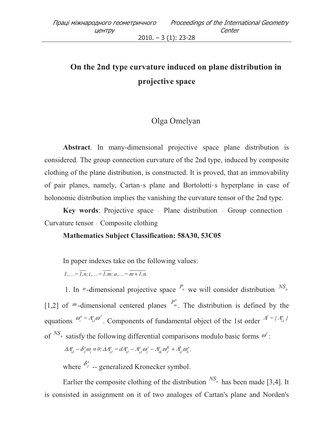# **On the 2nd type curvature induced on plane distribution in projective space**

## Olga Omelyan

**Abstract**. In many-dimensional projective space plane distribution is considered. The group connection curvature of the 2nd type, induced by composite clothing of the plane distribution, is constructed. It is proved, that an immovability of pair planes, namely, Cartan*'* s plane and Bortolotti*'* s hyperplane in case of holonomic distribution implies the vanishing the curvature tensor of the 2nd type.

**Key words:** Projective space ⋅ Plane distribution ⋅ Group connection ⋅ Curvature tensor ⋅ Composite clothing

### **Mathematics Subject Classification: 58A30, 53C05**

In paper indexes take on the following values:

 $I_{1}...=\overline{I_{1}}\overline{n};i...=\overline{I_{1}}\overline{m};a...=\overline{m+1,n}$ .

1. In *n*-dimensional projective space  $P_n$  we will consider distribution  $^{NS_n}$ [1,2] of  $<sup>m</sup>$ -dimensional centered planes  $P_{m}^{*}$ </sup>  $P_{m}^{r}$ . The distribution is defined by the equations  $\omega_i^a = A_{iJ}^a \omega^J$ *iJ a*  $\omega_i^a = A_{iJ}^a \omega^J$ . Components of fundamental object of the 1st order  $A^I = \{A_{iJ}^a\}$  $A^l = \big\{ A^a_{i,j}$ of  $^{NS_n}$  satisfy the following differential comparisons modulo basic forms  $\omega'$ :

$$
\Delta A_{iJ}^a - \delta_j^a \omega_i \equiv 0; \Delta A_{iJ}^a = dA_{iJ}^a - A_{jJ}^a \omega_i^j - A_{iK}^a \omega_j^K + A_{iJ}^b \omega_j^a,
$$

where  $\delta^a_J$  $\delta^a_j$  -- generalized Kronecker symbol.

Earlier the composite clothing of the distribution  $^{NS_n}$  has been made [3,4]. It is consisted in assignment on it of two analoges of Cartan's plane and Norden's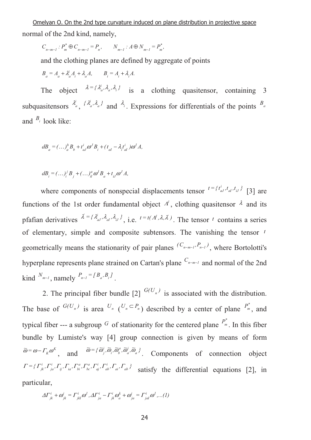Omelyan O. On the 2nd type curvature induced on plane distribution in projective space normal of the 2nd kind, namely,

 $C_{n-m-1}: P_{m}^{*} \oplus C_{n-m-1} = P_{n}$ ,  $N_{m-1}: A \oplus N_{m-1} = P_{n}^{*}$  $n-m-1$   $n'$   $n'$   $m-1$   $n'$   $m-1$   $n'$ *\**  $N_{n-m-1}: P_m^* \oplus C_{n-m-1} = P_n, \qquad N_{m-1}: A \oplus N_{m-1}$ 

and the clothing planes are defined by aggregate of points

 $B_a = A_a + \lambda_a^i A_i + \lambda_a A, \qquad B_i = A_i + \lambda_i A.$  $a_a = A_a + \lambda_a^i A_i + \lambda_a A,$   $B_i = A_i + \lambda_i$ 

The object  $\lambda = {\lambda_i^i, \lambda_a, \lambda_i}$ *i*  $\lambda = {\lambda}_a^i, \lambda_a^j, \lambda_i$  is a clothing quasitensor, containing 3 subquasitensors  $\lambda_i^i$  $\lambda^i_a, \ \{\lambda^i_a, \lambda_a\}$ *i*  $\lambda_a^i$ ,  $\lambda_a$ <sup>}</sup> and  $\lambda_i$ . Expressions for differentials of the points  $B_a$ and  $B_i$  look like:

$$
dB_a = (\dots)^b_a B_b + t^i_{aJ} \omega^J B_i + (t_{aI} - \lambda_i t^i_{aI}) \omega^I A,
$$

$$
dB_i = (\dots)^j B_j + (\dots)^a_{il} \omega^l B_a + t_{il} \omega^j A,
$$

where components of nonspecial displacements tensor  $t = \{t_{aJ}^i, t_{aJ}, t_{aJ}^j, t_{bJ}\}$  $\int_a^i f_{iJ} f_{iJ} f_{jJ}$ <sup>2</sup> [3] are functions of the 1st order fundamental object  $A<sup>i</sup>$ , clothing quasitensor  $\lambda$  and its pfafian derivatives  $\hat{\lambda} = {\lambda_{aJ}^{i}, \lambda_{aI}^{j}, \lambda_{iJ}}$ *i aJ*  $\lambda^i = {\lambda^i_{aJ}, \lambda_{aJ}, \lambda_{iJ}}$ , i.e.  $t = t(\Lambda^i, \lambda, \lambda^i)$ . The tensor *t* contains a series of elementary, simple and composite subtensors. The vanishing the tensor *t* geometrically means the stationarity of pair planes  $(C_{n-m-1}, P_{n-1})$ , where Bortolotti's hyperplane represents plane strained on Cartan's plane <sup>*C*<sub>*n*−*m*−1</sub> and normal of the 2nd</sup>  $\lim_{m} \frac{N_{m-1}}{m}$ , namely  $\frac{P_{n-1}}{P_{n-1}} = \frac{I}{B_a} B_i$ .

2. The principal fiber bundle [2]  $G(U_n)$  is associated with the distribution. The base of  $G(U_n)$  is area  $U_n$   $(V_n \subset P_n)$  described by a center of plane  $P_n^*$ *m P* , and typical fiber --- a subgroup G of stationarity for the centered plane  $P_{m}^{*}$ *m P* . In this fiber bundle by Lumiste's way [4] group connection is given by means of form *K*  $\widetilde{\omega} = \omega - \Gamma_{K} \omega^{K}$ , and  $\widetilde{\omega} = {\widetilde{\omega}_{j}^{i}, \widetilde{\omega}_{i}, \widetilde{\omega}_{b}^{a}, \widetilde{\omega}_{a}^{i}, \widetilde{\omega}_{a}}$ *i a a*  $i^{\prime}$ <sup> $\sim$ </sup>*b i*  $\omega = {\omega_j, \omega_i, \omega_i, \omega_a, \omega_a}$ , Components of connection object  $=\{ \Gamma^i_{jk}, \Gamma^i_{ja}, \Gamma^i_{ij}, \Gamma^i_{ia}, \Gamma^a_{bi}, \Gamma^a_{bc}, \Gamma^i_{aj}, \Gamma^i_{ab}, \Gamma^i_{ai}, \Gamma^i_{ab}\}$ *i ab i aj a bc a ij ia bi i ja*  $\Gamma = \{ \Gamma_{jk}^i, \Gamma_{ja}^i, \Gamma_{ij}^i, \Gamma_{ia}^i, \Gamma_{bi}^a, \Gamma_{bc}^i, \Gamma_{ab}^i, \Gamma_{ab}^i, \Gamma_{ab}^i, \Gamma_{ab}^i \}$  satisfy the differential equations [2], in particular,

$$
\Delta\Gamma_{jk}^i + \omega_{jk}^i = \Gamma_{jkl}^i \omega^l, \Delta\Gamma_{ja}^i - \Gamma_{jk}^i \omega_a^k + \omega_{ja}^i = \Gamma_{jal}^i \omega^l, \dots (1)
$$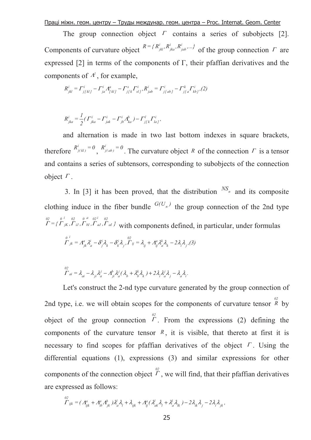<u>Праці міжн. геом. центру – Труды междунар. геом. центра – Proc. Internat. Geom. Center</u>

The group connection object  $\Gamma$  contains a series of subobjects [2]. Components of curvature object  $R = \{R^i_{jkl}, R^i_{jka}, R^i_{jab}, ...\}$ *i jka*  $\int_{ikl}^{i} R^{i}_{jka}, R^{i}_{jab}, \ldots$  of the group connection  $\Gamma$  are expressed [2] in terms of the components of  $\Gamma$ , their pfaffian derivatives and the components of  $A<sup>l</sup>$ , for example,

$$
R_{jkl}^i = \Gamma_{j[kl]}^i - \Gamma_{ja}^i A_{[kl]}^a - \Gamma_{j[k]}^s \Gamma_{slj}^i, R_{jab}^i = \Gamma_{j[ab]}^i - \Gamma_{j[a}^k \Gamma_{kb]}^i, (2)
$$

$$
R_{jka}^i = \frac{1}{2} ( \Gamma_{jka}^i - \Gamma_{jak}^i - \Gamma_{jb}^i A_{ka}^b ) - \Gamma_{j[k}^l \Gamma_{laj}^i ,
$$

and alternation is made in two last bottom indexes in square brackets, therefore  $R^i_{j(kl)} = 0$  $\int_{j(kl)}^{i} = 0$ ,  $R_{j(ab)}^{i} = 0$  $j(a b)$ <sup>-0</sup>. The curvature object *R* of the connection *Γ* is a tensor and contains a series of subtensors, corresponding to subobjects of the connection object  $\Gamma$ .

3. In [3] it has been proved, that the distribution  $^{NS_n}$  and its composite clothing induce in the fiber bundle  $G(U_n)$  the group connection of the 2nd type  $=\{ \Gamma_{\ jK}, \Gamma_{\ iJ}, \Gamma_{\ bI}, \Gamma_{\ aJ}, \Gamma_{\ aI}\ \}$ *02 i aJ 02 a bI 0 iJ 02 i jK 02 0*  $\Gamma = \{\Gamma_{jK}, \Gamma_{iJ}, \Gamma_{bI}, \Gamma_{aJ}, \Gamma_{aI}\}\$  with components defined, in particular, under formulas

$$
\stackrel{0}{\Gamma}^i_{jk} = A^a_{jk} \lambda^i_a - \delta^i_j \lambda^i_k - \delta^i_k \lambda^j_j \stackrel{02}{\Gamma}^i_{ij} = \lambda^i_{ij} + A^a_{ij} \lambda^k_a \lambda^j_k - 2 \lambda^i_i \lambda^j_j \quad (3)
$$

$$
\sum_{l=0}^{02} \lambda_{ai} - \lambda_{ji} \lambda_a^j - A_{ji}^b \lambda_a^j (\lambda_b + \lambda_b^k \lambda_k) + 2 \lambda_i \lambda_a^j \lambda_j - \lambda_a \lambda_i.
$$

Let's construct the 2-nd type curvature generated by the group connection of 2nd type, i.e. we will obtain scopes for the components of curvature tensor  $\frac{\partial^2}{\partial x \partial y}$ object of the group connection  $\overline{r}$ . From the expressions (2) defining the components of the curvature tensor  $R$ , it is visible, that thereto at first it is necessary to find scopes for pfaffian derivatives of the object  $\Gamma$ . Using the differential equations (1), expressions (3) and similar expressions for other components of the connection object  $\overline{r}$ , we will find, that their pfaffian derivatives are expressed as follows:

$$
\sum_{ijk}^{02} = \left(\mathbf{A}_{ijk}^a + \mathbf{A}_{ib}^a \mathbf{A}_{jk}^b\right) \lambda_a^l \lambda_l + \lambda_{ijk}^a + \mathbf{A}_{ij}^a (\lambda_{ak}^l \lambda_l + \lambda_a^l \lambda_{lk}) - 2\lambda_{ik} \lambda_j - 2\lambda_i \lambda_{jk},
$$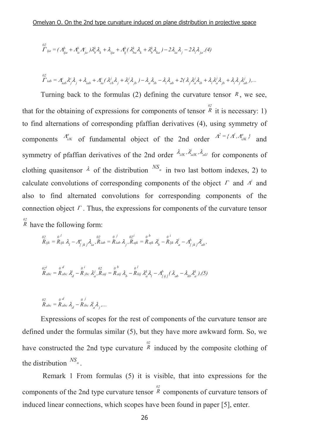$$
\overset{02}{\varGamma}_{ija} = (\varLambda_{ija}^b + \varLambda_{ic}^b \varLambda_{ja}^c) \lambda_{b}^k \lambda_{k} + \lambda_{ija} + \varLambda_{ij}^b (\varLambda_{ba}^k \lambda_{k} + \varLambda_{b}^k \lambda_{ka}) - 2 \lambda_{ia} \lambda_{j} - 2 \lambda_{i} \lambda_{ja} (4)
$$

$$
\sum_{l=ab}^{02} = A_{iab}^c \lambda_j^c \lambda_j + \lambda_{iab}^c + A_{ia}^c (\lambda_{cb}^j \lambda_j + \lambda_c^j \lambda_{jb}^c) - \lambda_a \lambda_{ib} - \lambda_i \lambda_{ab}^c + 2(\lambda_j \lambda_a^j \lambda_{ib} + \lambda_i \lambda_a^j \lambda_{jb}^c + \lambda_i \lambda_j \lambda_{ab}^j).
$$

Turning back to the formulas (2) defining the curvature tensor  $R$ , we see, that for the obtaining of expressions for components of tensor  $\frac{02}{R}$  it is necessary: 1) to find alternations of corresponding pfaffian derivatives (4), using symmetry of components  $A_{iJK}^a$  of fundamental object of the 2nd order  $A^2 = \{A^I, A_{iJK}^a\}$  $A^2 = \{A^l, A^a_{iJK}\}\$  and symmetry of pfaffian derivatives of the 2nd order  $\lambda_{iJK}$ ,  $\lambda_{iJK}$ ,  $\lambda_{iJ}$  for components of clothing quasitensor  $\lambda$  of the distribution  $^{NS_n}$  in two last bottom indexes, 2) to calculate convolutions of corresponding components of the object  $\Gamma$  and  $\Lambda^l$  and also to find alternated convolutions for corresponding components of the connection object  $\Gamma$ . Thus, the expressions for components of the curvature tensor  $R$ <sup>2</sup> have the following form:

$$
\overset{02}{R}_{ijk} = \overset{0}{R}_{ijk} \; \lambda_{l} - A^{a}_{l\ jk} \, \lambda_{ia}, \overset{02}{R}_{iab} = \overset{0}{R}_{iab} \; \lambda_{j} \; , \overset{02}{R}_{ajk} = \overset{0}{R}_{ajk} \; \lambda^{i}_{b} - \overset{0}{R}_{ljk} \; \lambda^{l}_{a} - A^{b}_{l\ jk} \, \lambda^{i}_{ab} \, ,
$$

$$
R_{abc} = R_{abc} \lambda_d^i - R_{jbc} \lambda_a^j, R_{aij} = R_{aij} \lambda_b - R_{kij} \lambda_a^k \lambda_l - A_{[ij]}^b (\lambda_{ab} - \lambda_{kb} \lambda_a^k), (5)
$$

$$
\overset{02}{R}_{abc} = \overset{0}{R}_{abc} \overset{d}{\lambda}_d - \overset{0}{R}_{abc} \overset{j}{\lambda}_a^i \overset{1}{\lambda}_j, \dots
$$

Expressions of scopes for the rest of components of the curvature tensor are defined under the formulas similar (5), but they have more awkward form. So, we have constructed the 2nd type curvature  $\overrightarrow{R}$  induced by the composite clothing of the distribution  $^{NS_n}$ .

 Remark 1 From formulas (5) it is visible, that into expressions for the components of the 2nd type curvature tensor  $\overset{02}{R}$  components of curvature tensors of induced linear connections, which scopes have been found in paper [5], enter.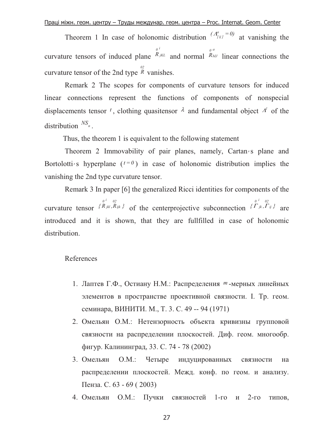Theorem 1 In case of holonomic distribution  $(A_{ij}^a)^{=0}$  at vanishing the curvature tensors of induced plane *i jKL*  $R_{jKL}$  and normal *a bIJ*  $R_{bU}$  linear connections the curvature tensor of the 2nd type  $\overset{\omega_2}{R}$  vanishes.

 Remark 2 The scopes for components of curvature tensors for induced linear connections represent the functions of components of nonspecial displacements tensor <sup>t</sup>, clothing quasitensor  $\lambda$  and fundamental object  $\Lambda^l$  of the distribution  $^{NS_n}$ .

Thus, the theorem 1 is equivalent to the following statement

 Theorem 2 Immovability of pair planes, namely, Cartan*'* s plane and Bortolotti<sub>*'*</sub> s hyperplane  $(t=0)$  in case of holonomic distribution implies the vanishing the 2nd type curvature tensor.

 Remark 3 In paper [6] the generalized Ricci identities for components of the curvature tensor  $\{R_{jkl}, R_{ijk}\}$ *02 i jkl*  $R_{jkl}, R_{ijk}$  *of the centerprojective subconnection*  $\{P_{jk}, P_{ij}\}$ *02 i jk 0*  $\Gamma_{jk}, \Gamma_{ij}$  are introduced and it is shown, that they are fullfilled in case of holonomic distribution.

References

- 1. Лаптев Г.Ф., Остиану Н.М.: Распределения <sup>т</sup>-мерных линейных элементов в пространстве проективной связности. I. Тр. геом. семинара, ВИНИТИ. М., Т. 3. С. 49 -- 94 (1971)
- 2. Омельян О.М.: Нетензорность объекта кривизны групповой связности на распределении плоскостей. Диф. геом. многообр. фигур. Калининград, 33. С. 74 - 78 (2002)
- 3. Омельян О.М.: Четыре индуцированных вязности на распределении плоскостей. Межд. конф. по геом. и анализу. Пенза. С. 63 - 69 (2003)
- 4. Омельян О.М.: Пучки связностей 1-го и 2-го типов,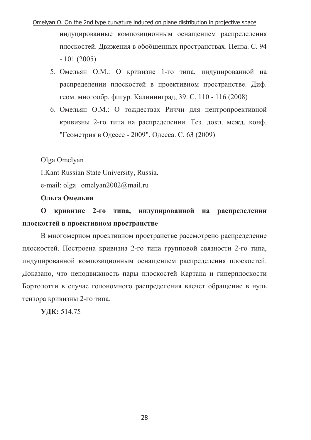# Omelyan O. On the 2nd type curvature induced on plane distribution in projective space индуцированные композиционным оснащением распределения плоскостей. Движения в обобщенных пространствах. Пенза. С. 94  $-101(2005)$

- 5. Омельян О.М.: О кривизне 1-го типа, индуцированной на распределении плоскостей в проективном пространстве. Диф. геом. многообр. фигур. Калининград, 39. С. 110 - 116 (2008)
- 6. Омельян О.М.: О тождествах Риччи для центропроективной кривизны 2-го типа на распределении. Тез. докл. межд. конф. "Геометрия в Одессе - 2009". Одесса. С. 63 (2009)

Olga Omelyan

I.Kant Russian State University, Russia.

e-mail:  $olga$  – omelyan $2002\omega$ mail.ru

Ольга Омельян

 $\mathbf{O}$ кривизне 2-го типа, индуцированной на распределении плоскостей в проективном пространстве

В многомерном проективном пространстве рассмотрено распределение плоскостей. Построена кривизна 2-го типа групповой связности 2-го типа, индуцированной композиционным оснащением распределения плоскостей. Доказано, что неподвижность пары плоскостей Картана и гиперплоскости Бортолотти в случае голономного распределения влечет обращение в нуль тензора кривизны 2-го типа.

УДК: 514.75

28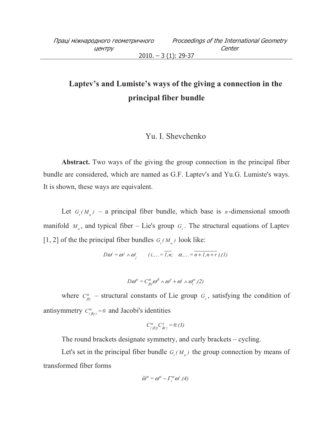# **Laptev's and Lumiste's ways of the giving a connection in the principal fiber bundle**

### Yu. I. Shevchenko

**Abstract.** Two ways of the giving the group connection in the principal fiber bundle are considered, which are named as G.F. Laptev's and Yu.G. Lumiste's ways. It is shown, these ways are equivalent.

Let  $G_r(M_n)$  – a principal fiber bundle, which base is *n*-dimensional smooth manifold  $M_n$ , and typical fiber – Lie's group  $G_r$ . The structural equations of Laptev [1, 2] of the the principal fiber bundles  $G_r(M_n)$  look like:

$$
D\omega^i = \omega^j \wedge \omega^i_j \qquad (i,... = \overline{1,n}; \quad \alpha,... = \overline{n+1,n+r}), (1)
$$

$$
D\omega^{\alpha} = C^{\alpha}_{\beta\gamma}\omega^{\beta} \wedge \omega^{\gamma} + \omega^{i} \wedge \omega_{i}^{\alpha}, (2)
$$

where  $C_{\beta\gamma}^{\alpha}$  – structural constants of Lie group  $G_r$ , satisfying the condition of antisymmetry  $C^{\alpha}_{(\beta\gamma)} = 0$  and Jacobi's identities

$$
C^{\alpha}_{\{\beta|\gamma\}}C^{\gamma}_{\delta\varepsilon\}}=0. (3)
$$

The round brackets designate symmetry, and curly brackets – cycling.

Let's set in the principal fiber bundle  $G_r(M_n)$  the group connection by means of transformed fiber forms

$$
\widetilde{\omega}^{\alpha} = \omega^{\alpha} - \Gamma_i^{\alpha} \omega^i, (4)
$$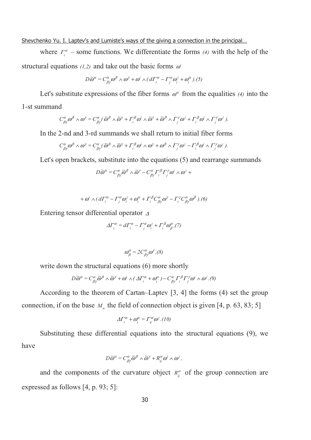Shevchenko Yu. I. Laptev's and Lumiste's ways of the giving a connection in the principal...

where  $\Gamma_i^{\alpha}$  – some functions. We differentiate the forms (4) with the help of the structural equations  $(1,2)$  and take out the basic forms  $\omega^i$ 

$$
D\widetilde{\omega}^{\alpha} = C^{\alpha}_{\beta\gamma}\omega^{\beta} \wedge \omega^{\gamma} + \omega^{i} \wedge (d\Gamma_{i}^{\alpha} - \Gamma_{j}^{\alpha}\omega_{i}^{j} + \omega_{i}^{\alpha}).(5)
$$

Let's substitute expressions of the fiber forms  $\omega^{\alpha}$  from the equalities (4) into the 1-st summand

$$
C^{\alpha}_{\beta\gamma}\omega^{\beta} \wedge \omega^{\gamma} = C^{\alpha}_{\beta\gamma}(\widetilde{\omega}^{\beta} \wedge \widetilde{\omega}^{\gamma} + \Gamma^{\beta}_{i}\omega^{i} \wedge \widetilde{\omega}^{\gamma} + \widetilde{\omega}^{\beta} \wedge \Gamma^{\gamma}_{j}\omega^{j} + \Gamma^{\beta}_{i}\omega^{i} \wedge \Gamma^{\gamma}_{j}\omega^{j}).
$$

In the 2-nd and 3-rd summands we shall return to initial fiber forms

$$
C^{\alpha}_{\beta\gamma}\omega^{\beta} \wedge \omega^{\gamma} = C^{\alpha}_{\beta\gamma}(\widetilde{\omega}^{\beta} \wedge \widetilde{\omega}^{\gamma} + \Gamma^{\beta}_{i}\omega^{i} \wedge \omega^{\gamma} + \omega^{\beta} \wedge \Gamma^{\gamma}_{j}\omega^{j} - \Gamma^{\beta}_{i}\omega^{i} \wedge \Gamma^{\gamma}_{j}\omega^{j}).
$$

Let's open brackets, substitute into the equations (5) and rearrange summands

$$
D\widetilde{\omega}^{\alpha} = C^{\alpha}_{\beta\gamma}\widetilde{\omega}^{\beta} \wedge \widetilde{\omega}^{\gamma} - C^{\alpha}_{\beta\gamma} \Gamma^{\beta}_{i} \Gamma^{\gamma}_{j} \omega^{i} \wedge \omega^{j} +
$$

$$
+\omega^i \wedge (d\Gamma_i^{\alpha} - \Gamma_j^{\alpha} \omega_i^j + \omega_i^{\alpha} + \Gamma_i^{\beta} C_{\beta\gamma}^{\alpha} \omega^{\gamma} - \Gamma_i^{\gamma} C_{\beta\gamma}^{\alpha} \omega^{\beta}).(6)
$$

Entering tensor differential operator <sup>∆</sup>

$$
\Delta\Gamma_i^{\alpha} = d\Gamma_i^{\alpha} - \Gamma_j^{\alpha}\omega_i^j + \Gamma_i^{\beta}\omega_{\beta}^{\alpha}, (7)
$$

$$
\omega^{\alpha}_{\beta} = 2C^{\alpha}_{\beta\gamma}\omega^{\gamma}, (8)
$$

write down the structural equations (6) more shortly

$$
D\widetilde{\omega}^{\alpha} = C^{\alpha}_{\beta\gamma}\widetilde{\omega}^{\beta} \wedge \widetilde{\omega}^{\gamma} + \omega^{i} \wedge (\Delta\Gamma_{i}^{\alpha} + \omega_{i}^{\alpha}) - C^{\alpha}_{\beta\gamma}\Gamma_{i}^{\beta}\Gamma_{j}^{\gamma}\omega^{i} \wedge \omega^{j}.(9)
$$

According to the theorem of Cartan–Laptev [3, 4] the forms (4) set the group connection, if on the base  $M<sub>n</sub>$  the field of connection object is given [4, p. 63, 83; 5]

$$
\Delta\Gamma_i^{\alpha} + \omega_i^{\alpha} = \Gamma_{ij}^{\alpha} \omega^j.(10)
$$

Substituting these differential equations into the structural equations (9), we have

$$
D\widetilde{\omega}^{\alpha} = C^{\alpha}_{\beta\gamma}\widetilde{\omega}^{\beta} \wedge \widetilde{\omega}^{\gamma} + R^{\alpha}_{ij}\omega^i \wedge \omega^j,
$$

and the components of the curvature object  $R_{ij}^{\alpha}$  of the group connection are expressed as follows [4, p. 93; 5]: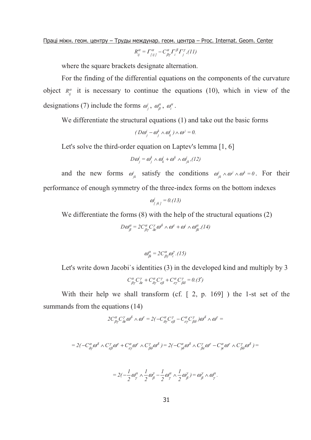<u>Праці міжн. геом. центру – Труды междунар. геом. центра – Proc. Internat. Geom. Center</u>

$$
R_{ij}^{\alpha} = \Gamma_{\{ij\}}^{\alpha} - C_{\beta\gamma}^{\alpha} \Gamma_{i}^{\beta} \Gamma_{j}^{\gamma}, (11)
$$

where the square brackets designate alternation.

For the finding of the differential equations on the components of the curvature object  $R_{ij}^{\alpha}$  it is necessary to continue the equations (10), which in view of the designations (7) include the forms  $\omega_j^i$ ,  $\omega_\beta^\alpha$ ,  $\omega_i^\alpha$ .

We differentiate the structural equations (1) and take out the basic forms

$$
(D\omega_j^i - \omega_j^k \wedge \omega_k^i) \wedge \omega^j = 0.
$$

Let's solve the third-order equation on Laptev's lemma [1, 6]

$$
D\omega_j^i = \omega_j^k \wedge \omega_k^i + \omega^k \wedge \omega_{jk}^i, (12)
$$

and the new forms  $\omega_{jk}^i$  satisfy the conditions  $\omega_{jk}^i \wedge \omega^j \wedge \omega^k = 0$ . For their performance of enough symmetry of the three-index forms on the bottom indexes

$$
\omega^i_{j,kj} = 0. (13)
$$

We differentiate the forms  $(8)$  with the help of the structural equations  $(2)$ 

$$
D\omega_{\beta}^{\alpha} = 2C^{\alpha}_{\beta\gamma}C^{\gamma}_{\delta\epsilon}\omega^{\delta} \wedge \omega^{\epsilon} + \omega^{i} \wedge \omega_{\beta i}^{\alpha}, (14)
$$

$$
\omega_{\beta i}^{\alpha} = 2C_{\beta\gamma}^{\alpha}\omega_i^{\gamma}.(15)
$$

Let's write down Jacobi's identities (3) in the developed kind and multiply by 3

$$
C^{\alpha}_{\beta\gamma}C^{\gamma}_{\delta\varepsilon}+C^{\alpha}_{\delta\gamma}C^{\gamma}_{\varepsilon\beta}+C^{\alpha}_{\varepsilon\gamma}C^{\gamma}_{\beta\delta}=0.(3')
$$

With their help we shall transform (cf. [ 2, p. 169] ) the 1-st set of the summands from the equations (14)

$$
2C^{\alpha}_{\beta\gamma}C^{\gamma}_{\delta\epsilon}\omega^{\delta}\wedge\omega^{\epsilon}=2(-C^{\alpha}_{\delta\gamma}C^{\gamma}_{\epsilon\beta}-C^{\alpha}_{\epsilon\gamma}C^{\gamma}_{\beta\delta})\omega^{\delta}\wedge\omega^{\epsilon}=
$$

$$
=2(-C_{\delta\gamma}^{\alpha}\omega^{\delta}\wedge C_{\epsilon\beta}^{\gamma}\omega^{\epsilon}+C_{\epsilon\gamma}^{\alpha}\omega^{\epsilon}\wedge C_{\beta\delta}^{\gamma}\omega^{\delta})=2(-C_{\gamma\delta}^{\alpha}\omega^{\delta}\wedge C_{\beta\epsilon}^{\gamma}\omega^{\epsilon}-C_{\gamma\epsilon}^{\alpha}\omega^{\epsilon}\wedge C_{\beta\delta}^{\gamma}\omega^{\delta})=
$$

$$
=2(-\frac{1}{2}\omega_{\gamma}^{\alpha}\wedge\frac{1}{2}\omega_{\beta}^{\gamma}-\frac{1}{2}\omega_{\gamma}^{\alpha}\wedge\frac{1}{2}\omega_{\beta}^{\gamma})=\omega_{\beta}^{\gamma}\wedge\omega_{\gamma}^{\alpha}.
$$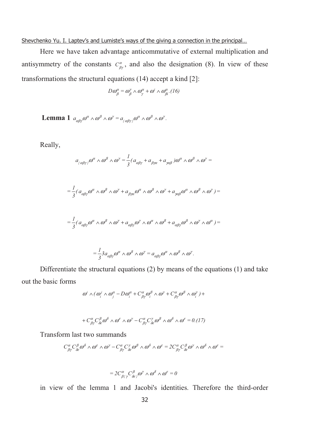### Shevchenko Yu. I. Laptev's and Lumiste's ways of the giving a connection in the principal...

Here we have taken advantage anticommutative of external multiplication and antisymmetry of the constants  $C_{\beta\gamma}^{\alpha}$ , and also the designation (8). In view of these transformations the structural equations (14) accept a kind [2]:

$$
D\omega_{\beta}^{\alpha} = \omega_{\beta}^{\gamma} \wedge \omega_{\gamma}^{\alpha} + \omega^{i} \wedge \omega_{\beta i}^{\alpha} . (16)
$$

**Lemma 1**  $a_{\alpha\beta\gamma}\omega^{\alpha} \wedge \omega^{\beta} \wedge \omega^{\gamma} = a_{\{\alpha\beta\gamma\}}\omega^{\alpha} \wedge \omega^{\beta} \wedge \omega^{\gamma}.$  $\alpha$  β γ  $\alpha^{\beta}$ αβγ  $\alpha$  β γ  $\alpha^{\beta}$  $a_{\beta\gamma}\omega^{\alpha}\wedge\omega^{\beta}\wedge\omega^{\gamma}=a_{\alpha\beta\gamma\gamma}^{\quad\alpha}\omega^{\alpha}\wedge\omega^{\beta}\wedge\omega^{\gamma}.$ 

Really,

$$
a_{\{\alpha\beta\gamma\}}\omega^{\alpha}\wedge\omega^{\beta}\wedge\omega^{\gamma}=\frac{1}{3}(a_{\alpha\beta\gamma}+a_{\beta\gamma\alpha}+a_{\gamma\alpha\beta})\omega^{\alpha}\wedge\omega^{\beta}\wedge\omega^{\gamma}=
$$

$$
=\frac{1}{3}(a_{\alpha\beta\gamma}\omega^{\alpha}\wedge\omega^{\beta}\wedge\omega^{\gamma}+a_{\beta\gamma\alpha}\omega^{\alpha}\wedge\omega^{\beta}\wedge\omega^{\gamma}+a_{\gamma\alpha\beta}\omega^{\alpha}\wedge\omega^{\beta}\wedge\omega^{\gamma})=
$$

$$
=\frac{1}{3}(a_{\alpha\beta\gamma}\omega^{\alpha}\wedge\omega^{\beta}\wedge\omega^{\gamma}+a_{\alpha\beta\gamma}\omega^{\gamma}\wedge\omega^{\alpha}\wedge\omega^{\beta}+a_{\alpha\beta\gamma}\omega^{\beta}\wedge\omega^{\gamma}\wedge\omega^{\alpha})=
$$

$$
=\frac{1}{3}3a_{\alpha\beta\gamma}\omega^{\alpha}\wedge\omega^{\beta}\wedge\omega^{\gamma}=a_{\alpha\beta\gamma}\omega^{\alpha}\wedge\omega^{\beta}\wedge\omega^{\gamma}.
$$

Differentiate the structural equations (2) by means of the equations (1) and take out the basic forms

$$
\omega^i \wedge (\omega_i^j \wedge \omega_j^{\alpha} - D\omega_i^{\alpha} + C_{\beta\gamma}^{\alpha} \omega_i^{\beta} \wedge \omega^{\gamma} + C_{\beta\gamma}^{\alpha} \omega^{\beta} \wedge \omega_i^{\gamma}) +
$$

$$
+ C^{\alpha}_{\beta\gamma} C^{\beta}_{\delta\epsilon} \omega^{\delta} \wedge \omega^{\epsilon} \wedge \omega^{\gamma} - C^{\alpha}_{\beta\gamma} C^{\gamma}_{\delta\epsilon} \omega^{\beta} \wedge \omega^{\delta} \wedge \omega^{\epsilon} = 0.(17)
$$

Transform last two summands

$$
C_{\beta\gamma}^{\alpha}C_{\delta\epsilon}^{\beta}\omega^{\delta}\wedge\omega^{\epsilon}\wedge\omega^{\gamma}-C_{\beta\gamma}^{\alpha}C_{\delta\epsilon}^{\gamma}\omega^{\beta}\wedge\omega^{\delta}\wedge\omega^{\epsilon}=2C_{\beta\gamma}^{\alpha}C_{\delta\epsilon}^{\beta}\omega^{\gamma}\wedge\omega^{\delta}\wedge\omega^{\epsilon}=
$$

$$
=2C^{\alpha}_{\beta\{\gamma}C^{\beta}_{\delta\epsilon\}}\omega^{\gamma}\wedge\omega^{\delta}\wedge\omega^{\epsilon}=0
$$

in view of the lemma 1 and Jacobi's identities. Therefore the third-order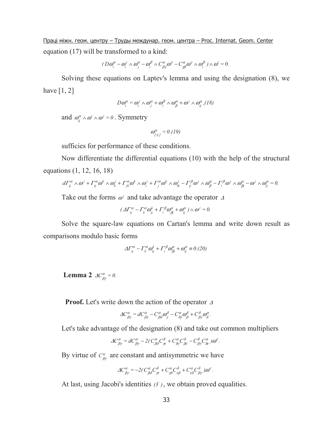<u>Праці міжн. геом. центру – Труды междунар. геом. центра – Proc. Internat. Geom. Center</u> equation (17) will be transformed to a kind:

$$
(D\omega_i^{\alpha} - \omega_i^j \wedge \omega_j^{\alpha} - \omega_i^{\beta} \wedge C_{\beta\gamma}^{\alpha} \omega^{\gamma} - C_{\gamma\beta}^{\alpha} \omega^{\gamma} \wedge \omega_i^{\beta}) \wedge \omega^i = 0.
$$

Solving these equations on Laptev's lemma and using the designation (8), we have  $[1, 2]$ 

$$
D\omega_i^{\alpha} = \omega_i^j \wedge \omega_j^{\alpha} + \omega_i^{\beta} \wedge \omega_j^{\alpha} + \omega^j \wedge \omega_{ij}^{\alpha}, (18)
$$

and  $\omega_{ij}^{\alpha} \wedge \omega^i \wedge \omega^j = 0$ . Symmetry

$$
\omega_{\left[ij\right]}^{\alpha} = 0. (19)
$$

sufficies for performance of these conditions.

Now differentiate the differential equations (10) with the help of the structural equations (1, 12, 16, 18)

$$
d\Gamma_{ij}^{\alpha} \wedge \omega^j + \Gamma_{ij}^{\alpha} \omega^k \wedge \omega^j_k + \Gamma_{jk}^{\alpha} \omega^k \wedge \omega^j_i + \Gamma_{j}^{\alpha} \omega^k \wedge \omega^j_k - \Gamma_{ij}^{\beta} \omega^j \wedge \omega^{\alpha}_{\beta} - \Gamma_{i}^{\beta} \omega^j \wedge \omega^{\alpha}_{\beta j} - \omega^j \wedge \omega^{\alpha}_{ij} = 0.
$$

Take out the forms  $\omega^j$  and take advantage the operator  $\Delta$ 

$$
\left(\varDelta\varGamma_{ij}^{\alpha}-\varGamma_{k}^{\alpha}\omega_{ij}^{k}+\varGamma_{i}^{\beta}\omega_{\beta j}^{\alpha}+\omega_{ij}^{\alpha}\right)\wedge\omega^{j}=0.
$$

Solve the square-law equations on Cartan's lemma and write down result as comparisons modulo basic forms

$$
\Delta\Gamma_{ij}^{\alpha} - \Gamma_{k}^{\alpha}\omega_{ij}^{k} + \Gamma_{i}^{\beta}\omega_{\beta j}^{\alpha} + \omega_{ij}^{\alpha} \equiv 0. (20)
$$

**Lemma 2**  $AC_{\beta\gamma}^{\alpha} = 0$ .

 **Proof.** Let's write down the action of the operator <sup>∆</sup>

$$
\Delta C^{\alpha}_{\beta\gamma} = dC^{\alpha}_{\beta\gamma} - C^{\alpha}_{\beta\delta}\omega^{\delta}_{\gamma} - C^{\alpha}_{\delta\gamma}\omega^{\delta}_{\beta} + C^{\delta}_{\beta\gamma}\omega^{\alpha}_{\delta}.
$$

Let's take advantage of the designation (8) and take out common multipliers

$$
\Delta C^{\alpha}_{\beta\gamma} = dC^{\alpha}_{\beta\gamma} - 2(C^{\alpha}_{\beta\delta}C^{\delta}_{\gamma\epsilon} + C^{\alpha}_{\delta\gamma}C^{\delta}_{\beta\epsilon} - C^{\delta}_{\beta\gamma}C^{\alpha}_{\delta\epsilon})\omega^{\epsilon}.
$$

By virtue of  $C^{\alpha}_{\beta\gamma}$  are constant and antisymmetric we have

$$
\varDelta C_{\beta\gamma}^{\alpha} = -2\big(\,C_{\beta\delta}^{\alpha}C_{\gamma\epsilon}^{\delta} + C_{\gamma\delta}^{\alpha}C_{\epsilon\beta}^{\delta} + C_{\epsilon\delta}^{\alpha}C_{\beta\gamma}^{\delta}\,\big) \varpi^{\epsilon} \,.
$$

At last, using Jacobi's identities  $(3')$ , we obtain proved equalities.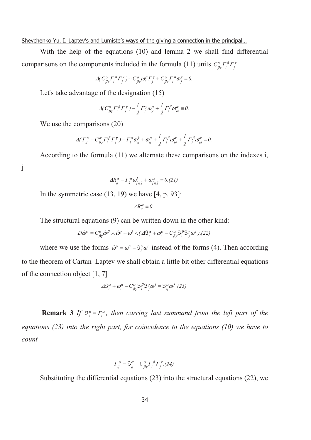Shevchenko Yu. I. Laptev's and Lumiste's ways of the giving a connection in the principal...

With the help of the equations (10) and lemma 2 we shall find differential comparisons on the components included in the formula (11) units  $C^{\alpha}_{\beta\gamma} \Gamma^{\beta}_{i} \Gamma^{\gamma}_{j}$ 

$$
\Delta (C^{\alpha}_{\beta\gamma} \Gamma^{\beta}_i \Gamma^{\gamma}_j) + C^{\alpha}_{\beta\gamma} \omega^{\beta}_i \Gamma^{\gamma}_j + C^{\alpha}_{\beta\gamma} \Gamma^{\beta}_i \omega^{\gamma}_j \equiv 0.
$$

Let's take advantage of the designation (15)

$$
\Delta (C^{\alpha}_{\beta\gamma} \Gamma^{\beta}_{i} \Gamma^{\gamma}_{j}) - \frac{1}{2} \Gamma^{\gamma}_{j} \omega^{\alpha}_{ji} + \frac{1}{2} \Gamma^{\beta}_{i} \omega^{\alpha}_{\beta \beta} \equiv 0.
$$

We use the comparisons (20)

$$
\Delta(\Gamma^{\alpha}_{ij} - C^{\alpha}_{\beta\gamma}\Gamma^{\beta}_{i}\Gamma^{\gamma}_{j}) - \Gamma^{\alpha}_{k}\omega^k_{ij} + \omega^{\alpha}_{ij} + \frac{1}{2}\Gamma^{\beta}_{i}\omega^{\alpha}_{\beta j} + \frac{1}{2}\Gamma^{\beta}_{j}\omega^{\alpha}_{\beta i} \equiv 0.
$$

According to the formula (11) we alternate these comparisons on the indexes i,

j

$$
\Delta R_{ij}^{\alpha} - \Gamma_k^{\alpha} \omega_{[ij]}^k + \omega_{[ij]}^{\alpha} \equiv 0. (21)
$$

In the symmetric case  $(13, 19)$  we have  $[4, p. 93]$ :

$$
\Delta R_{ij}^{\alpha} \equiv 0.
$$

The structural equations (9) can be written down in the other kind:

$$
D\hat{\omega}^{\alpha} = C^{\alpha}_{\beta\gamma}\hat{\omega}^{\beta} \wedge \hat{\omega}^{\gamma} + \omega^{i} \wedge (\varDelta \mathfrak{S}_{i}^{\alpha} + \omega_{i}^{\alpha} - C^{\alpha}_{\beta\gamma}\mathfrak{S}_{i}^{\beta}\mathfrak{S}_{j}^{\gamma}\omega^{i}), (22)
$$

where we use the forms  $\hat{\omega}^{\alpha} = \omega^{\alpha} - \Im_{i}^{\alpha} \omega^{i}$  instead of the forms (4). Then according to the theorem of Cartan–Laptev we shall obtain a little bit other differential equations of the connection object [1, 7]

$$
\Delta \mathfrak{S}_{i}^{\alpha} + \omega_{i}^{\alpha} - C_{\beta\gamma}^{\alpha} \mathfrak{S}_{i}^{\beta} \mathfrak{S}_{j}^{\gamma} \omega^{j} = \mathfrak{S}_{ij}^{\alpha} \omega^{j}. (23)
$$

**Remark 3** *If*  $\mathfrak{I}_{i}^{\alpha} = \Gamma_{i}^{\alpha}$ , then carring last summand from the left part of the *equations (23) into the right part, for coincidence to the equations (10) we have to count* 

$$
\Gamma_{ij}^{\alpha} = \mathfrak{S}_{ij}^{\alpha} + C_{\beta\gamma}^{\alpha} \Gamma_{i}^{\beta} \Gamma_{j}^{\gamma} . (24)
$$

Substituting the differential equations (23) into the structural equations (22), we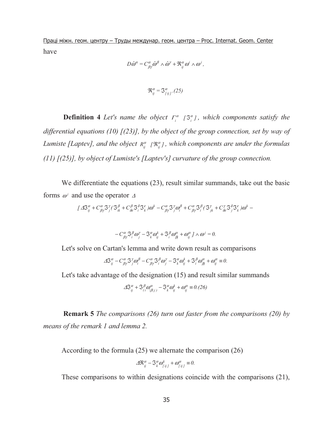<u>Праці міжн. геом. центру – Труды междунар. геом. центра – Proc. Internat. Geom. Center</u> have

$$
D\hat{\omega}^{\alpha} = C^{\alpha}_{\beta\gamma}\hat{\omega}^{\beta} \wedge \hat{\omega}^{\gamma} + \mathfrak{R}_{ij}^{\alpha}\omega^{i} \wedge \omega^{j},
$$

 $\mathfrak{R}_{ij}^{\alpha} = \mathfrak{S}_{[ij]}^{\alpha}$ . (25)

**Definition 4** *Let's name the object*  $\Gamma_i^{\alpha}$   $\left[\mathcal{S}_i^{\alpha}\right]$ , which components satisfy the *differential equations (10) [(23)], by the object of the group connection, set by way of Lumiste [Laptev], and the object*  $R_{ij}^{\alpha}$  *[* $\Re_{ij}^{\alpha}$ ], which components are under the formulas *(11) [(25)], by object of Lumiste's [Laptev's] curvature of the group connection.* 

We differentiate the equations (23), result similar summands, take out the basic forms  $\omega^j$  and use the operator  $\Delta$ 

$$
\left[\right. A\mathfrak{S}_{ij}^{\alpha} + C_{\beta\gamma}^{\alpha}\mathfrak{S}_{j}^{\gamma}\left(\mathfrak{S}_{ik}^{\beta} + C_{\delta\epsilon}^{\beta}\mathfrak{S}_{i}^{\delta}\mathfrak{S}_{k}^{\epsilon}\right)\omega^{k} - C_{\beta\gamma}^{\alpha}\mathfrak{S}_{j}^{\gamma}\omega_{i}^{\beta} + C_{\beta\gamma}^{\alpha}\mathfrak{S}_{i}^{\beta}\left(\mathfrak{S}_{jk}^{\gamma} + C_{\delta\epsilon}^{\gamma}\mathfrak{S}_{j}^{\delta}\mathfrak{S}_{k}^{\epsilon}\right)\omega^{k} - \right]
$$

$$
-C^{\alpha}_{\beta\gamma}S^{\beta}_{i}\omega^{\gamma}_{j}-S^{\alpha}_{k}\omega^k_{ij}+S^{\beta}_{i}\omega^{\alpha}_{\beta j}+\omega^{\alpha}_{ij}j \wedge \omega^j=0.
$$

Let's solve on Cartan's lemma and write down result as comparisons

$$
\Delta S_{ij}^{\alpha} - C_{\beta\gamma}^{\alpha} S_{j}^{\gamma} \omega_{i}^{\beta} - C_{\beta\gamma}^{\alpha} S_{i}^{\beta} \omega_{j}^{\gamma} - S_{k}^{\alpha} \omega_{ij}^{k} + S_{i}^{\beta} \omega_{\beta j}^{\alpha} + \omega_{ij}^{\alpha} \equiv 0.
$$

Let's take advantage of the designation (15) and result similar summands

$$
\Delta S_{ij}^{\alpha} + S_{(i}^{\beta} \omega_{|\beta|j)}^{\alpha} - S_{k}^{\alpha} \omega_{ij}^{k} + \omega_{ij}^{\alpha} \equiv 0. (26)
$$

**Remark 5** *The comparisons (26) turn out faster from the comparisons (20) by means of the remark 1 and lemma 2.* 

According to the formula (25) we alternate the comparison (26)

$$
\Delta \mathfrak{R}_{ij}^{\alpha} - \mathfrak{S}_{k}^{\alpha} \omega_{\lceil ij \rceil}^{k} + \omega_{\lceil ij \rceil}^{\alpha} \equiv 0.
$$

These comparisons to within designations coincide with the comparisons (21),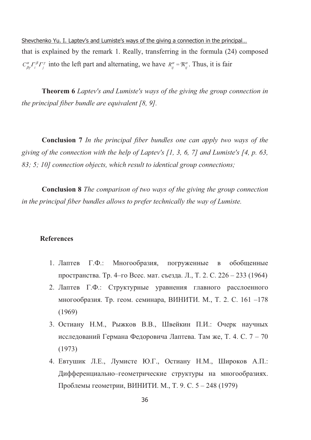Shevchenko Yu. I. Laptev's and Lumiste's ways of the giving a connection in the principal... that is explained by the remark 1. Really, transferring in the formula (24) composed  $C^{\alpha}_{\beta y} \Gamma^{\beta}_{i} \Gamma^{\gamma}_{i}$  into the left part and alternating, we have  $R^{\alpha}_{ii} = \Re^{\alpha}_{ii}$ . Thus, it is fair

**Theorem 6** Laptev's and Lumiste's ways of the giving the group connection in the principal fiber bundle are equivalent  $[8, 9]$ .

**Conclusion** 7 In the principal fiber bundles one can apply two ways of the giving of the connection with the help of Laptev's [1, 3, 6, 7] and Lumiste's [4, p. 63, 83; 5; 10] connection objects, which result to identical group connections;

**Conclusion 8** The comparison of two ways of the giving the group connection in the principal fiber bundles allows to prefer technically the way of Lumiste.

### **References**

- 1. Лаптев  $\Gamma.\Phi.$ : Многообразия, погруженные обобщенные  $\, {\bf B}$ пространства. Тр. 4-го Всес. мат. съезда. Л., Т. 2. С. 226 – 233 (1964)
- 2. Лаптев Г.Ф.: Структурные уравнения главного расслоенного многообразия. Тр. геом. семинара, ВИНИТИ. М., Т. 2. С. 161 -178  $(1969)$
- 3. Остиану Н.М., Рыжков В.В., Швейкин П.И.: Очерк научных исследований Германа Федоровича Лаптева. Там же, Т. 4. С. 7 – 70  $(1973)$
- 4. Евтушик Л.Е., Лумисте Ю.Г., Остиану Н.М., Широков А.П.: Дифференциально-геометрические структуры на многообразиях. Проблемы геометрии, ВИНИТИ. М., Т. 9. С. 5 – 248 (1979)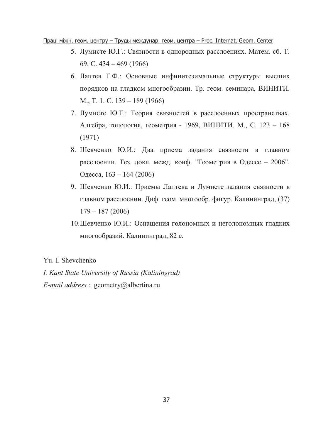<u>Праці міжн. геом. центру – Труды междунар. геом. центра – Proc. Internat. Geom. Center</u>

- 5. Лумисте Ю.Г.: Связности в однородных расслоениях. Матем. сб. Т. 69. C.  $434 - 469$  (1966)
- 6. Лаптев Г.Ф.: Основные инфинитезимальные структуры высших порядков на гладком многообразии. Тр. геом. семинара, ВИНИТИ. M., T. 1. C. 139 – 189 (1966)
- 7. Лумисте Ю.Г.: Теория связностей в расслоенных пространствах. Алгебра, топология, геометрия - 1969, ВИНИТИ. М., С. 123 - 168 (1971)
- 8. Шевченко Ю.И.: Два приема задания связности в главном расслоении. Тез. докл. межд. конф. "Геометрия в Одессе - 2006". Одесса, 163 – 164 (2006)
- 9. Шевченко Ю.И.: Приемы Лаптева и Лумисте задания связности в главном расслоении. Диф. геом. многообр. фигур. Калининград, (37) 179 – 187 (2006)
- 10. Шевченко Ю.И.: Оснащения голономных и неголономных гладких многообразий. Калининград, 82 с.

### Yu. I. Shevchenko

*I. Kant State University of Russia (Kaliningrad) E-mail address* : geometry@albertina.ru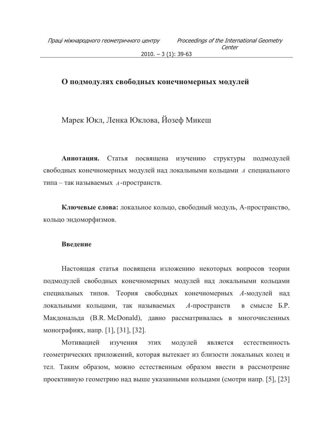### О подмодулях свободных конечномерных модулей

Марек Юкл, Ленка Юклова, Йозеф Микеш

Аннотация. Статья посвящена изучению структуры подмодулей свободных конечномерных модулей над локальными кольцами А специального типа - так называемых А-пространств.

Ключевые слова: локальное кольцо, свободный модуль, А-пространство, кольцо эндоморфизмов.

### Введение

Настоящая статья посвящена изложению некоторых вопросов теории подмодулей свободных конечномерных модулей над локальными кольцами специальных типов. Теория свободных конечномерных А-модулей над локальными кольцами, так называемых  $A$ -пространств в смысле Б.Р. Макдональда (B.R. McDonald), давно рассматривалась в многочисленных монографиях, напр. [1], [31], [32].

Мотивацией изучения ЭТИХ модулей является естественность геометрических приложений, которая вытекает из близости локальных колец и тел. Таким образом, можно естественным образом ввести в рассмотрение проективную геометрию над выше указанными кольцами (смотри напр. [5], [23]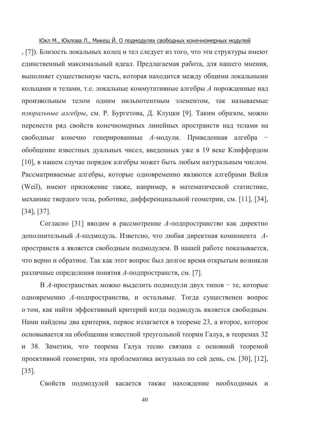#### Юкл М., Юклова Л., Микеш Й. О подмодулях свободных конечномерных модулей

, [7]). Близость локальных колец и тел следует из того, что эти структуры имеют единственный максимальный идеал. Предлагаемая работа, для нашего мнения, выполняет существенную часть, которая находится между общими локальными кольцами и телами, т.е. локальные коммутативные алгебры А порожденные над произвольным телом одним нильпотентным элементом, так называемые плюральные алгебры, см. Р. Бургетова, Д. Клуцки [9]. Таким образом, можно перенести ряд свойств конечномерных линейных пространств над телами на свободные конечно генерированные А-модули. Приведенная алгебра обобщение известных дуальных чисел, введенных уже в 19 веке Клиффордом [10], в нашем случае порядок алгебры может быть любым натуральным числом. Рассматриваемые алгебры, которые одновременно являются алгебрами Вейля (Weil), имеют приложение также, например, в математической статистике, механике твердого тела, роботике, дифференциальной геометрии, см. [11], [34],  $[34], [37].$ 

Согласно [31] вводим в рассмотрение А-подпространство как директно дополнительный А-подмодуль. Изветсно, что любая директная компонента Апространств а является свободным подмодулем. В нашей работе показывается, что верно и обратное. Так как этот вопрос был долгое время открытым возникли различные определения понятия А-подпространств, см. [7].

В А-пространствах можно выделить подмодули двух типов - те, которые одновременно А-подпространства, и остальные. Тогда существенен вопрос о том, как найти эффективный критерий когда подмодуль является свободным. Нами найдены два критерия, первое излагается в теореме 23, а второе, которое основывается на обобщении известной треугольной теории Галуа, в теоремах 32 и 38. Заметим, что теорема Галуа тесно связана с основной теоремой проективной геометрии, эта проблематика актуальна по сей день, см. [30], [12],  $[35]$ .

Свойств подмодулей касается также нахождение необходимых и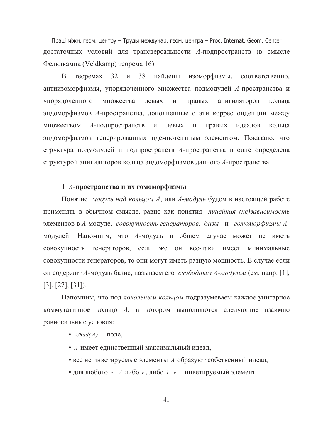Праці міжн. геом. центру - Труды междунар. геом. центра - Proc. Internat. Geom. Center достаточных условий для трансверсальности А-подпространств (в смысле Фельдкампа (Veldkamp) теорема 16).

B теоремах 32 и 38 найдены изоморфизмы, соответственно, антиизоморфизмы, упорядоченного множества подмодулей А-пространства и упорядоченного множества левых правых анигиляторов  $\boldsymbol{\mathrm{M}}$ кольца эндоморфизмов А-пространства, дополненные о эти корреспонденции между множеством  $A$ -подпространств  $\,$   $\,$   $\,$   $\,$ левых правых идеалов  $\,$  M кольца эндоморфизмов генерированных идемпотентным элементом. Показано, что структура подмодулей и подпространств А-пространства вполне определена структурой анигиляторов кольца эндоморфизмов данного А-пространства.

### 1 А-пространства и их гомоморфизмы

Понятие модуль над кольцом А, или А-модуль будем в настоящей работе применять в обычном смысле, равно как понятия линейная (не)зависимость элементов в А-модуле, совокупность генераторов, базы и гомоморфизмы Амодулей. Напомним, что А-модуль в общем случае может не иметь совокупность генераторов, если же он все-таки имеет минимальные совокупности генераторов, то они могут иметь разную мощность. В случае если он содержит А-модуль базис, называем его свободным А-модулем (см. напр. [1],  $[3], [27], [31].$ 

Напомним, что под локальным кольцом подразумеваем каждое унитарное коммутативное кольцо  $A$ , в котором выполняются следующие взаимно равносильные условия:

- $A/Rad(A)$  поле,
- А имеет единственный максимальный идеал,
- все не инветируемые элементы А образуют собственный идеал,
- для любого  $r \in A$  либо  $r$ , либо  $1-r$  инветируемый элемент.

 $41$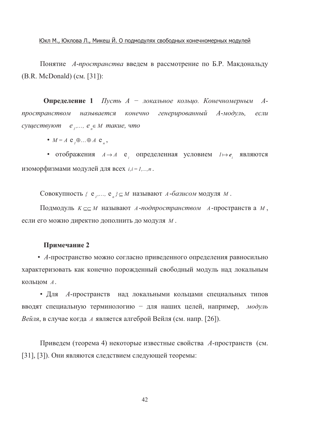Понятие А-пространства введем в рассмотрение по Б.Р. Макдональду  $(B.R.$  McDonald)  $(cM. [31])$ :

**Определение 1** Пусть  $A$  – локальное кольцо. Конечномерным  $A$ генерированный пространством называется конечно  $A$ -модуль.  $ecnu$ существуют е ,...,  $e \in M$  такие, что

 $\bullet$   $M = A \mathbf{e}, \oplus ... \oplus A \mathbf{e},$ 

• отображения  $A \rightarrow A$  е определенная условием  $l \mapsto e$  являются изоморфизмами модулей для всех  $i, i = 1,...,n$ .

Совокупность  $\{e_1, \ldots, e_n\} \subseteq M$  называют A-базисом модуля M.

Подмодуль  $K \subseteq \subseteq M$  называют A-подпространством A-пространства M, если его можно директно дополнить до модуля М.

#### Примечание 2

• А-пространство можно согласно приведенного определения равносильно характеризовать как конечно порожденный свободный модуль над локальным КОЛЬЦОМ А.

• Для А-пространств над локальными кольцами специальных типов вводят специальную терминологию - для наших целей, например, модуль Вейля, в случае когда *А* является алгеброй Вейля (см. напр. [26]).

Приведем (теорема 4) некоторые известные свойства А-пространств (см. [31], [3]). Они являются следствием следующей теоремы:

42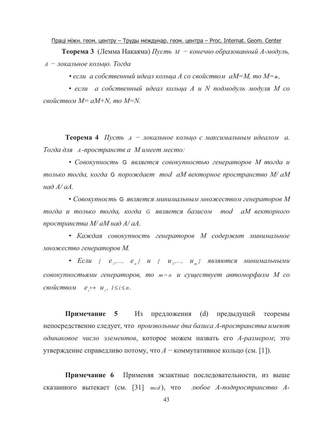#### Праці міжн. геом. центру - Труды междунар. геом. центра - Proc. Internat. Geom. Center

**Теорема 3** (Лемма Накаяма) Пусть  $M - \kappa$ онечно образованный А-модуль, А - локальное кольцо. Тогда

• если а собственный идеал кольца А со свойством аМ=М, то М= $o$ ,

• если а собственный идеал кольца А и N подмодуль модуля М со свойством  $M = aM+N$ , то  $M=N$ .

Теорема 4 Пусть А - локальное кольцо с максимальным идеалом а. Тогда для А-пространств а Мимеет место:

• Совокупность G является совокупностью генераторов М тогда и только тогда, когда G порождает mod aM векторное пространство M/ аM над  $A/aA$ 

• Совокупность G является минимальным множеством генераторов М тогда и только тогда, когда G является базисом mod аМ векторного пространства М/ аМ над А/ аА.

• Каждая совокупность генераторов М содержит минимальное множество генераторов М.

• Если {  $e_1, ..., e_n$ }  $u_1, ..., u_n$ } являются минимальными совокупностьями генераторов, то  $m = n$  и существует автоморфизм М со  $ccov\check{u}cm\check{e}$   $\mapsto u_i, l \leq i \leq n.$ 

Примечание 5 Из предложения (d) предыдущей теоремы непосредственно следует, что произвольные два базиса А-пространства имеют одинаковое число элементов, которое можем назвать его А-размером; это утверждение справедливо потому, что  $A$  – коммутативное кольцо (см. [1]).

Примечание 6 Применяя экзактные последовательности, из выше сказанного вытекает (см. [31] mcd), что любое А-подпространство А-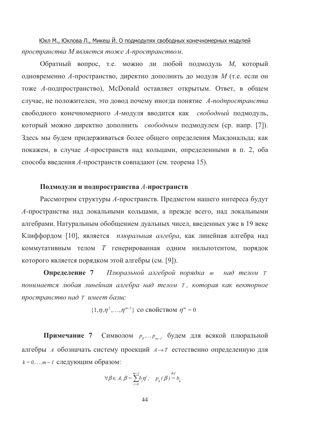Юкл М., Юклова Л., Микеш Й. О подмодулях свободных конечномерных модулей пространства М является тоже А-пространством.

Обратный вопрос, т.е. можно ли любой подмодуль М, который одновременно А-пространство, директно дополнить до модуля М (т.е. если он тоже A-подпространство), McDonald оставляет открытым. Ответ, в общем случае, не положителен, это довод почему иногда понятие А-подпространства свободного конечномерного А-модуля вводится как свободный подмодуль, который можно директно дополнить свободным подмодулем (ср. напр. [7]). Здесь мы будем придерживаться более общего определения Макдональда; как покажем, в случае А-пространств над кольцами, определенными в п. 2, оба способа введения А-пространств совпадают (см. теорема 15).

### Подмодули и подпространства А-пространств

Рассмотрим структуры А-пространств. Предметом нашего интереса будут А-пространства над локальными кольцами, а прежде всего, над локальными алгебрами. Натуральным обобщением дуальных чисел, введенных уже в 19 веке Клиффордом [10], является плюральная алгебра, как линейная алгебра над коммутативным телом  $T$  генерированная одним нильпотентом, порядок которого является порядком этой алгебры (см. [9]).

Определение 7 Плюральной алгеброй порядка т над телом Т понимается любая линейная алгебра над телом Т, которая как векторное пространство над Т имеет базис

$$
\{1,\eta,\eta^2,\ldots,\eta^{m-1}\}\, \text{co~CBoñctbom }\eta^m=0
$$

**Примечание 7** Символом  $p_{o}, \ldots, p_{m-1}$  будем для всякой плюральной алгебры A обозначать систему проекций  $A \rightarrow T$  естественно определенную для  $k = 0, \ldots, m-1$  следующим образом:

$$
\forall \beta \in A, \beta = \sum_{i=0}^{m-1} b_i \eta^i; \quad p_k(\beta) = b_k.
$$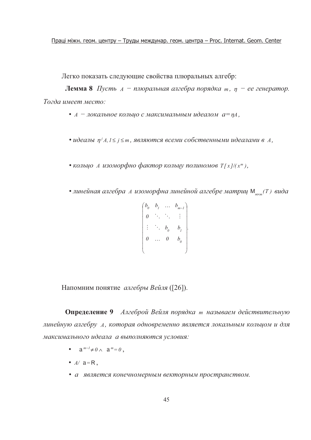Праці міжн. геом. центру - Труды междунар. геом. центра - Proc. Internat. Geom. Center

Легко показать следующие свойства плюральных алгебр:

**Лемма 8** Пусть  $A - n$ люральная алгебра порядка *m*,  $\eta - e$ е генератор. Тогда имеет место:

- $A$  локальное кольцо с максимальным идеалом  $a = nA$ ,
- идеалы  $\eta^{j} A, l \leq j \leq m$ , являются всеми собственными идеалами в  $A$ ,
- кольцо А изоморфно фактор кольцу полиномов  $T[x]/(x^m)$ ,
- линейная алгебра А изоморфна линейной алгебре матриц М\_ (Т) вида

$$
\begin{pmatrix}\nb_{0} & b_{1} & \cdots & b_{m-1} \\
0 & \ddots & \ddots & \vdots \\
\vdots & \ddots & b_{0} & b_{1} \\
0 & \cdots & 0 & b_{0}\n\end{pmatrix}
$$

Напомним понятие алгебры Вейля ([26]).

Определение 9 Алгеброй Вейля порядка т называем действительную линейную алгебру А, которая одновременно является локальным кольцом и для максимального идеала а выполняются условия:

- $a^{m-l} \neq 0 \wedge a^m = 0$ ,
- $A / a = R$ ,
- а является конечномерным векторным пространством.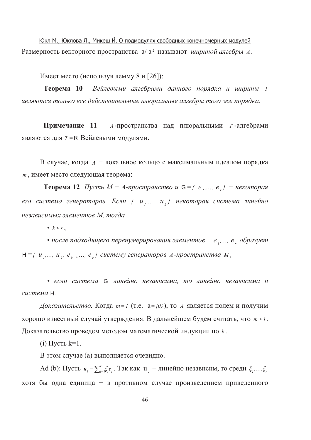Юкл М., Юклова Л., Микеш Й. О подмодулях свободных конечномерных модулей Размерность векторного пространства а/ а<sup>2</sup> называют шириной алгебры А.

Имеет место (используя лемму 8 и [26]):

**Теорема** 10 Вейлевыми алгебрами данного порядка и ширины 1 являются только все действительные плюральные алгебры того же порядка.

Примечание 11 *А*-пространства над плюральными *т*-алгебрами являются для  $T = R$  Вейлевыми модулями.

В случае, когда  $A$  – локальное кольцо с максимальным идеалом порядка т, имеет место следующая теорема:

**Теорема 12** Пусть  $M - A$ -пространство и G ={ е ,..., е } – некоторая его система генераторов. Если { и ,..., и } некоторая система линейно независимых элементов М. тогда

•  $k \leq r$ ,

• после подходящего перенумерирования элементов е ,..., е образует  $H = \{ u_1,..., u_k, e_{k+1},..., e_r \}$  систему генераторов А-пространства М,

• если система G линейно независима, то линейно независима и система Н.

Доказательство. Когда  $m=1$  (т.е.  $a=\{0\}$ ), то A является полем и получим хорошо известный случай утверждения. В дальнейшем будем считать, что  $m > 1$ . Доказательство проведем методом математической индукции по  $k$ .

(i) Пусть  $k=1$ .

В этом случае (а) выполняется очевидно.

Ad (b): Пусть  $u_i = \sum_{i=1}^{r} \xi_i e_i$ . Так как  $u_i$  – линейно независим, то среди  $\xi_i, ..., \xi_r$ хотя бы одна единица - в противном случае произведением приведенного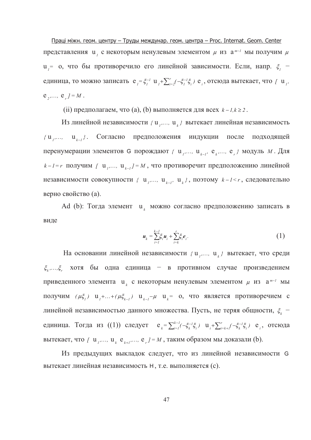Праці міжн. геом. центру - Труды междунар. геом. центра - Proc. Internat. Geom. Center представления  $u_i$ , с некоторым ненулевым элементом  $\mu$  из  $a^{m-l}$  мы получим  $\mu$  $u_i$ = о, что бы противоречило его линейной зависимости. Если, напр.  $\xi_i$  единица, то можно записать  $e_i = \xi_i^{-1} u_i + \sum_{i=2}^r (-\xi_i^{-1}\xi_i) e_i$ , отсюда вытекает, что [  $u_i$ ,  $e_1, \ldots, e_n = M$ .

(ii) предполагаем, что (a), (b) выполняется для всех  $k - 1, k \ge 2$ .

Из линейной независимости  $\{u_1,..., u_k\}$  вытекает линейная независимость  $\{u_1,..., u_{k-1}\}\$ . Согласно предположения индукции после подходящей перенумерации элементов G порождают  $\{u_1, ..., u_{k-1}, e_k, ..., e_n\}$  модуль  $M$ . Для  $k-l=r$  получим [  $u_j,..., u_{k-l} = M$ , что противоречит предположению линейной независимости совокупности { u ,..., u  $_k$ ,  $\mathbf{u}_k$  }, поэтому  $k-l \leq r$ , следовательно верно свойство (а).

Ad (b): Тогда элемент  $u_k$  можно согласно предположению записать в виде

$$
u_{k} = \sum_{i=1}^{k-1} \xi_{i} u_{i} + \sum_{i=k}^{r} \xi_{i} e_{i}.
$$
 (1)

На основании линейной независимости  $\{u_1, ..., u_k\}$  вытекает, что среди  $\xi_{k},...,\xi_{r}$  хотя бы одна единица - в противном случае произведением приведенного элемента  $u_k$  с некоторым ненулевым элементом  $\mu$  из  $a^{m-l}$  мы получим  $(\mu \xi_i)$  u<sub>1</sub>+...+ $(\mu \xi_{k-1})$  u<sub>k-1</sub>- $\mu$  u<sub>k</sub>= 0, что является противоречием с линейной независимостью данного множества. Пусть, не теряя общности,  $\xi_k$  единица. Тогда из ((1)) следует  $e_k = \sum_{i=1}^{k-l} (-\xi_k^{-1} \xi_i) u_i + \sum_{i=k+l}^{r} (-\xi_k^{-1} \xi_i) e_i$ , отсюда вытекает, что [ u ,..., u  $_{k}$  e  $_{k+1}$ ,..., e  $_{r}$  ] = M, таким образом мы доказали (b).

Из предыдущих выкладок следует, что из линейной независимости G вытекает линейная независимость Н, т.е. выполняется (с).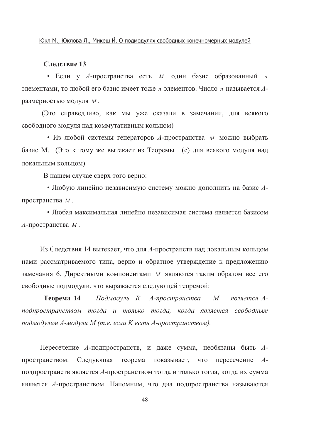### Слелствие 13

• Если у А-пространства есть  $M$  один базис образованный  $n$ элементами, то любой его базис имеет тоже *п* элементов. Число *п* называется Аразмерностью модуля М.

(Это справедливо, как мы уже сказали в замечании, для всякого свободного модуля над коммутативным кольцом)

• Из любой системы генераторов А-пространства м можно выбрать базис М. (Это к тому же вытекает из Теоремы (с) для всякого модуля над локальным кольцом)

В нашем случае сверх того верно:

• Любую линейно независимую систему можно дополнить на базис Апространства М.

• Любая максимальная линейно независимая система является базисом  $A$ -пространства  $M$ .

Из Следствия 14 вытекает, что для А-пространств над локальным кольцом нами рассматриваемого типа, верно и обратное утверждение к предложению замечания 6. Директными компонентами *м* являются таким образом все его свободные подмодули, что выражается следующей теоремой:

Подмодуль К А-пространства Теорема 14 М является Аподпространством тогда и только тогда, когда является свободным подмодулем А-модуля М (т.е. если К есть А-пространством).

Пересечение А-подпространств, и даже сумма, необязаны быть Апространством. Следующая теорема показывает, что пересечение Аподпространств является А-пространством тогда и только тогда, когда их сумма является А-пространством. Напомним, что два подпространства называются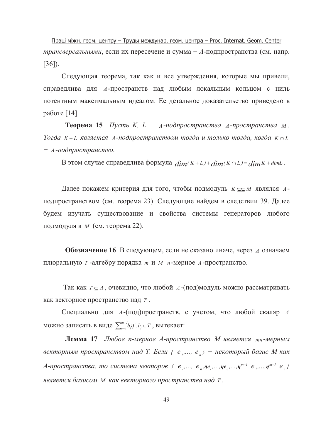Праці міжн. геом. центру - Труды междунар. геом. центра - Proc. Internat. Geom. Center трансверсальными, если их пересечеие и сумма - А-подпространства (см. напр.  $[36]$ ).

Следующая теорема, так как и все утверждения, которые мы привели, справедлива для A-пространств над любым локальным кольцом с ниль потентным максимальным идеалом. Ее детальное доказательство приведено в работе [14].

**Теорема 15** Пусть К,  $L - A$ -подпространства А-пространства м. Тогда  $K+L$  является A-подпространством тогда и только тогда, когда  $K \cap L$  $- A$ -подпространство.

В этом случае справедлива формула  $dim(K+L) + dim(K \cap L) = dim K + dim L$ .

Далее покажем критерия для того, чтобы подмодуль  $K \subseteq \subseteq M$  являлся  $A$ подпространством (см. теорема 23). Следующие найдем в следствии 39. Далее будем изучать существование и свойства системы генераторов любого подмодуля в *М* (см. теорема 22).

Обозначение 16 В следующем, если не сказано иначе, через А означаем плюральную  $T$ -алгебру порядка *m* и  $M$  *n*-мерное  $A$ -пространство.

Так как  $T \subseteq A$ , очевидно, что любой  $A$ -(под)модуль можно рассматривать как векторное пространство над Т.

Специально для A-(под)пространств, с учетом, что любой скаляр A можно записать в виде  $\sum_{i=0}^{m-l} b_i \eta^i, b_i \in T$ , вытекает:

Лемма 17 Любое п-мерное А-пространство М является тп-мерным векторным пространством над Т. Если  $\{e_1, ..., e_n\}$  – некоторый базис М как А-пространства, то система векторов {  $e_1$ ,...,  $e_n$ ,  $\eta e_1$ ,..., $\eta e_n$ ,..., $\eta^{m-1}$   $e_1$ ,..., $\eta^{m-1}$   $e_n$ } является базисом м как векторного пространства над т.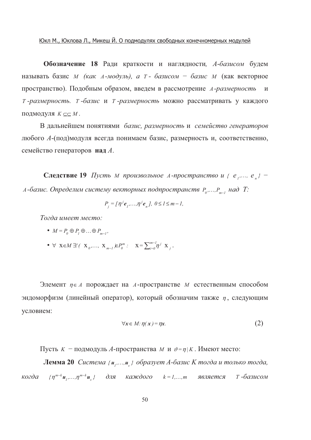Обозначение 18 Ради краткости и наглядности, А-базисом будем называть базис *м* (как A-модуль), а т - базисом - базис *м* (как векторное пространство). Подобным образом, введем в рассмотрение А-размерность и Т-размерность. Т-базис и Т-размерность можно рассматривать у каждого ПОДМОДУЛЯ  $K \subseteq \subseteq M$ .

В дальнейшем понятиями базис, размерность и семейство генераторов любого А-(под)модуля всегда понимаем базис, размерность и, соответственно, семейство генераторов над А.

**Следствие 19** Пусть м произвольное A-пространство и {  $e_1$ ,...,  $e_n$ } -А-базис. Определим систему векторных подпространств  $P_0, \ldots, P_{m-1}$  над Т:

$$
P_{i} = [\eta^{j} e_{i}, ..., \eta^{j} e_{n}], \ 0 \leq l \leq m - l,
$$

Тогда имеет место:

- $M = P_0 \oplus P_1 \oplus ... \oplus P_{m-1}$
- $\forall$   $X \in M \exists! (\; X_0, \ldots, \; X_{m-1}) \in P_0^m : X = \sum_{i=0}^{m-1} \eta^i X_i$ .

Элемент  $\eta \in A$  порождает на A-пространстве M естественным способом эндоморфизм (линейный оператор), который обозначим также  $\eta$ , следующим условием:

$$
\forall x \in M: \eta(x) = \eta x. \tag{2}
$$

Пусть  $K$  – подмодуль A-пространства  $M$  и  $\vartheta = \eta | K$ . Имеют место:

Лемма 20 Система {u,...,u} образует А-базис К тогда и только тогда, когда  $\{\eta^{m-k}\mathbf{u},...,\eta^{m-k}\mathbf{u}\}$  для каждого  $k=1,...,m$  является т -базисом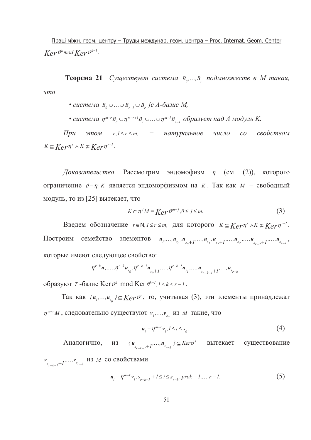Праці міжн. геом. центру - Труды междунар. геом. центра - Proc. Internat. Geom. Center  $Ker \vartheta^k$  mod  $Ker \vartheta^{k-1}$ .

Теорема 21 Существует система В<sub>о</sub>...., В подмножеств в М такая,  $\mu$ mo

- система  $B_0 \cup ... \cup B_{r-1} \cup B_r$  је А-базис М,
- система  $\eta^{m-r} B_{\theta} \cup \eta^{m-r+1} B_{r} \cup ... \cup \eta^{m-l} B_{r-l}$  образует над А модуль К.

 $\prod pu$  $3mOM$   $r, l \le r \le m$ , - натуральное число свойством  $CO$  $K \subseteq \mathbb{K}e^r\eta^r \wedge K \subset \mathbb{K}e^r\eta^{r-1}$ .

Доказательство. Рассмотрим эндомофизм  $\eta$  (см. (2)), которого ограничение  $v = \eta | K$  является эндоморфизмом на К. Так как  $M -$  свободный модуль, то из [25] вытекает, что

$$
K \cap \eta^{j} M = \text{Ker}\,\vartheta^{m-j}, 0 \le j \le m. \tag{3}
$$

Введем обозначение r ∈ N,  $1 \le r \le m$ , для которого  $K \subseteq \mathbb{K}e^r\eta^r \wedge K \subset \mathbb{K}e^r\eta^{r-1}$ . Построим семейство элементов  $u_1, ..., u_{s_0}, u_{s_0+1}, ..., u_{s_1}, u_{s_1+1}, ..., u_{s_2}, ..., u_{s_{r-2}+1}, ..., u_{s_{r-1}},$ которые имеют следующее свойство:

$$
\eta^{r-k} \mathbf{u}_1, \ldots, \eta^{r-k} \mathbf{u}_{s_0}, \eta^{r-k-1} \mathbf{u}_{s_0+1}, \ldots, \eta^{r-k-1} \mathbf{u}_{s_1}, \ldots, \mathbf{u}_{s_{r-k-1}+1}, \ldots, \mathbf{u}_{s_{r-k}}
$$

образуют  $T$ -базис Ker  $\vartheta^k$  mod Ker  $\vartheta^{k-l}$ ,  $1 \le k \le r-l$ .

Так как  $\{u_1,...,u_{s_0}\}\subseteq \text{Ker}\,\vartheta^r$ , то, учитывая (3), эти элементы принадлежат  $\eta^{m-r}M$ , следовательно существуют  $v_1, ..., v_{s_0}$  из М такие, что

$$
\mathbf{u}_{i} = \eta^{m-r} \mathbf{v}_{i}, l \le i \le s_{0}.\tag{4}
$$

ИЗ { $u_{s_{r-k-1}+1}$ ,..., $u_{s_{r-k}}$ }⊆  $Ker \vartheta^k$  вытекает существование Аналогично,  $v_{s_{n-k-1}+1},...,v_{s_{r-k}}$  из *M* со свойствами

$$
u_i = \eta^{m-k} v_i, s_{r-k-1} + 1 \le i \le s_{r-k}, \text{prob} = 1, \dots, r-1. \tag{5}
$$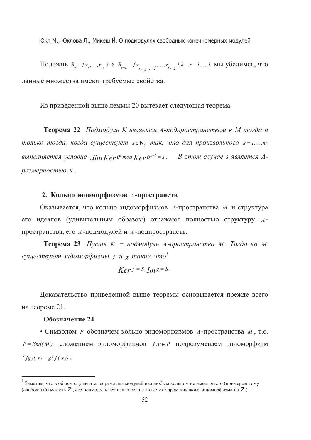Положив  $B_0 = \{v_1, ..., v_{s_0}\}\$ а  $B_{r-k} = \{v_{s_{r-k-1}+1}, ..., v_{s_{r-k}}\}\$ ,  $k = r-1, ..., l$  мы убедимся, что данные множества имеют требуемые свойства.

Из приведенной выше леммы 20 вытекает следующая теорема.

Теорема 22 Подмодуль К является А-подпространством в М тогда и только тогда, когда существует  $s \in N$ , так, что для произвольного  $k = 1,...,m$ выполняется условие  $\dim \mathbb{K}e_r v^{k}$  mod  $\mathbb{K}e_r v^{k-1} = s$ . В этом случае s является Aразмерностью К.

### 2. Кольцо эндоморфизмов А-пространств

Оказывается, что кольцо эндоморфизмов А-пространства М и структура его идеалов (удивительным образом) отражают полностью структуру Апространства, его А-подмодулей и А-подпространств.

**Теорема 23** Пусть  $K - n\alpha\alpha\alpha\alpha\beta$ уль А-пространства М. Тогда на М существуют эндоморфизмы  $f$  и g такие, что<sup>1</sup>

$$
Ker f = S, Im g = S.
$$

Доказательство приведенной выше теоремы основывается прежде всего на теореме 21.

### Обозначение 24

• Символом Р обозначем кольцо эндоморфизмов А-пространства М, т.е.  $P = End(M)$ , сложением эндоморфизмов  $f, g \in P$  подрозумеваем эндоморфизм  $(fg)(x) = g(f(x)).$ 

<sup>&</sup>lt;sup>1</sup> Заметим. что в общем случае эта теорема для модулей над любым кольцом не имеет место (примером тому (свободный) модуль Z, его подмодуль четных чисел не является ядром никакого эндоморфизма на Z)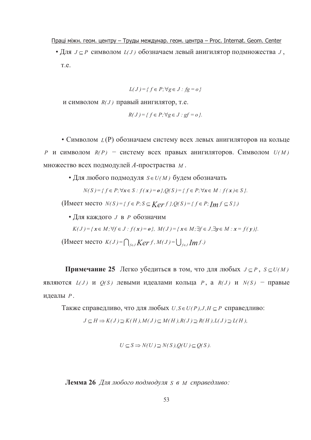<u>Праці міжн. геом. центру – Труды междунар. геом. центра – Proc. Internat. Geom. Center</u>

• Для  $J \subseteq P$  символом  $L(J)$  обозначаем левый анигилятор подмножества  $J$ ,  $T.e.$ 

$$
L(J) = \{ f \in P; \forall g \in J : fg = o \}
$$

и символом  $R(J)$  правый анигилятор, т.е.

$$
R(J) = \{ f \in P; \forall g \in J : gf = o \}.
$$

• Символом  $L(P)$  обозначаем систему всех левых анигиляторов на кольце  $P$  и символом  $R(P)$  – систему всех правых анигиляторов. Символом  $U(M)$ множество всех подмодулей А-простраства м.

• Для любого подмодуля  $S \in U(M)$  будем обозначать

 $N(S) = { f ∈ P; \forall x ∈ S : f(x) = o }, Q(S) = { f ∈ P; \forall x ∈ M : f(x) ∈ S }$ .

 $($ *M*  $) = \{ f \in P : S \subseteq \text{Ker } f \}$ ,  $Q(S) = \{ f \in P : \text{Im } f \subseteq S \}$ .)

• Для каждого *J* в *P* обозначим

 $K(J) = \{x \in M; \forall f \in J : f(x) = o\}, M(J) = \{x \in M; \exists f \in J, \exists y \in M : x = f(y)\}.$ 

 $(K(\text{H}_{\text{M}})) = \bigcap_{f \in J} \text{Ker } f, M(J) = \bigcup_{f \in J} \text{Im } f.$ 

**Примечание 25** Легко убедиться в том, что для любых  $J \subseteq P$ ,  $S \subseteq U(M)$ являются  $L(J)$  и  $Q(S)$  левыми идеалами кольца P, a  $R(J)$  и  $N(S)$  - правые идеалы Р.

Также справедливо, что для любых  $U, S \in U(P), J, H \subseteq P$  справедливо:

$$
J \subseteq H \Rightarrow K(J) \supseteq K(H), M(J) \subseteq M(H), R(J) \supseteq R(H), L(J) \supseteq L(H),
$$

$$
U \subseteq S \Rightarrow N(U) \supseteq N(S), Q(U) \subseteq Q(S).
$$

**Лемма 26** Для любого подмодуля s в м справедливо: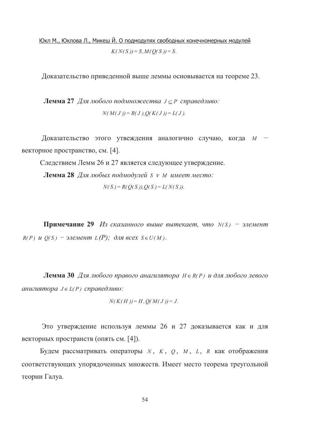Юкл М., Юклова Л., Микеш Й. О подмодулях свободных конечномерных модулей  $K(N(S)) = S, M(Q(S)) = S.$ 

Доказательство приведенной выше леммы основывается на теореме 23.

**Лемма 27** Для любого подмножества  $J \subseteq P$  справедливо:  $N(M(J)) = R(J), Q(K(J)) = L(J).$ 

Доказательство этого утвеждения аналогично случаю, когда  $M$ векторное пространство, см. [4].

Следствием Лемм 26 и 27 является следующее утверждение.

**Лемма 28** Для любых подмодулей S v M имеет место:

$$
N(S) = R(Q(S)), Q(S) = L(N(S)).
$$

**Примечание 29** Из сказанного выше вытекает, что  $N(S)$  - элемент  $R(P)$  и  $O(S)$  – элемент  $L(P)$ ; для всех  $S \in U(M)$ .

**Лемма 30** Для любого правого анагилятора  $H \in R(P)$  и для любого левого анигиятора  $J \in L(P)$  справедливо:

$$
N(K(H))=H, Q(M(J))=J.
$$

Это утверждение используя леммы 26 и 27 доказывается как и для векторных пространств (опять см. [4]).

Будем рассматривать операторы N, K, Q, M, L, R как отображения соответствующих упорядоченных множеств. Имеет место теорема треугольной теории Галуа.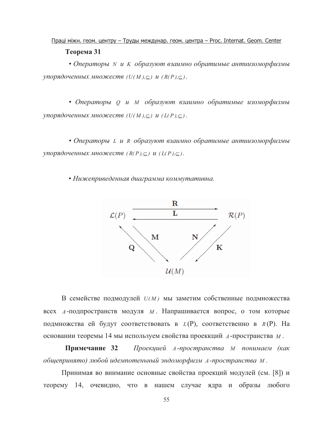## Праці міжн. геом. центру - Труды междунар. геом. центра - Proc. Internat. Geom. Center Теорема 31

• Операторы N и K образуют взаимно обратимые антиизоморфизмы упорядоченных множеств  $(U(M), \subseteq)$  и  $(R(P), \subseteq)$ .

• Операторы О и М образуют взаимно обратимые изоморфизмы упорядоченных множеств  $(U(M), \subseteq)$  и  $(L(P), \subseteq)$ .

• Операторы L и R образуют взаимно обратимые антиизоморфизмы упорядоченных множеств  $(R(P), \subseteq)$  и  $(L(P), \subseteq)$ .

• Нижеприведенная диаграмма коммутативна.



В семействе подмодулей  $U(M)$  мы заметим собственные подмножества всех *А*-подпространств модуля *М*. Напрашивается вопрос, о том которые подмножства ей будут соответствовать в  $L(P)$ , соответственно в  $R(P)$ . На основании теоремы 14 мы используем свойства проеккций А-пространства М.

Примечание 32 Проекцией А-пространства М понимаем (как общепринято) любой идемпотеньный эндоморфизм А-пространства М.

Принимая во внимание основные свойства проекций модулей (см. [8]) и теорему 14, очевидно, что в нашем случае ядра и образы любого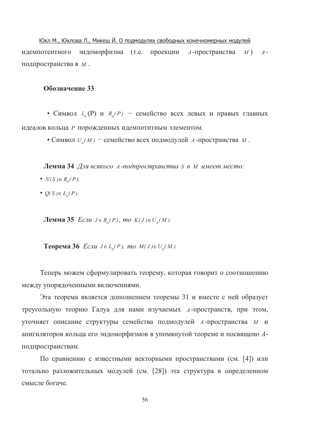Юкл М., Юклова Л., Микеш Й. О подмодулях свободных конечномерных модулей идемпотентного эндоморфизма (т.е. проекции A-пространства M) Aподпространства в М.

### Обозначение 33

• Символ  $L_{o}(P)$  и  $R_{o}(P)$  – семейство всех левых и правых главных идеалов кольца Р порожденных идемпотнтным элементом.

• Символ  $U_a(M)$  – семейство всех подмодулей А-пространства М.

**Лемма 34** Для всякого A-подпространства S в M имеет место:

- $N(S) \in R_{o}(P)$ ,
- $Q(S) \in L_0(P)$ .

**Лемма 35** *Если*  $J \in R_0(P)$ , *mo*  $K(J) \in U_0(M)$ .

**Теорема 36** *Если Ј*∈ *L*<sub>*o*</sub>(*P*)*, mo M*(*J*)∈ *U*<sub>*o*</sub>(*M*).

Теперь можем сформулировать теорему, которая говорит о соотношению между упорядоченными включениями.

Эта теорема является дополнением теоремы 31 и вместе с ней образует треугольную теорию Галуа для нами изучаемых *А*-пространств, при этом, уточняет описание структуры семейства подмодулей А-пространства М и анигиляторов кольца его эндоморфизмов в упомянутой теореме и посвящено Аподпространствам.

По сравнению с известными векторными пространствами (см. [4]) или тотально разложительных модулей (см. [28]) эта структура в определенном смысле богаче.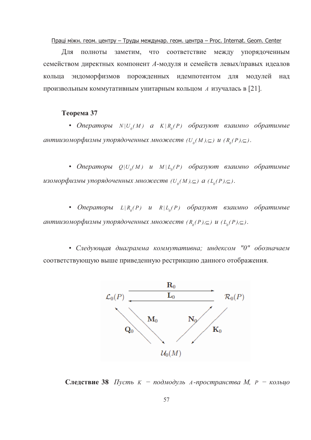Праці міжн. геом. центру - Труды междунар. геом. центра - Proc. Internat. Geom. Center

Для полноты заметим. что соответствие между упорядоченным семейством директных компонент А-модуля и семейств левых/правых идеалов кольца эндоморфизмов порожденных идемпотентом для модулей над произвольным коммутативным унитарным кольцом A изучалась в [21].

### Теорема 37

• Операторы  $N|U_a(M)$  а  $K|R_a(P)$  образуют взаимно обратимые антиизоморфизмы упорядоченных множеств  $(U_{\alpha}(M), \subseteq)$  и  $(R_{\alpha}(P), \subseteq)$ .

• Операторы  $Q|U_a(M)$  и  $M|L_a(P)$  образуют взаимно обратимые изоморфизмы упорядоченных множеств  $(U_a(M), \subseteq)$  а  $(L_a(P), \subseteq)$ .

• Операторы  $L | R_{0}(P)$  и  $R | L_{0}(P)$  образуют взаимно обратимые антиизоморфизмы упорядоченных множеств  $(R_o(P), \subseteq)$  и  $(L_o(P), \subseteq)$ .

• Следующая диаграмма коммутативна; индексом "0" обозначаем соответствующую выше приведенную рестрикцию данного отображения.



**Следствие 38** Пусть  $K - n00M00$ уль А-пространства М,  $P - \kappa 0M0M0$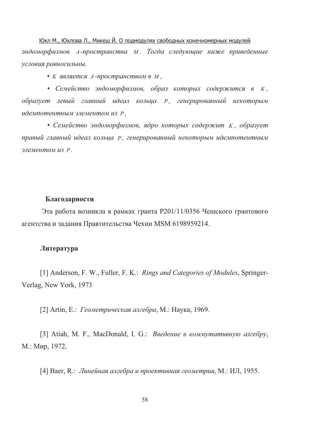Юкл М., Юклова Л., Микеш Й. О подмодулях свободных конечномерных модулей эндоморфизмов А-пространства М. Тогда следующие ниже приведенные условия равносильны.

• К является А-пространством в М,

• Семейство эндоморфизмов, образ которых содержится в К, образует левый главный идеал кольца Р, генерированный некоторым идемпотентным элементом из Р,

• Семейство эндоморфизмов, ядро которых содержит К, образует правый главный идеал кольца Р, генерированный некоторым идемпотентным элементом из Р.

#### Благодарности

Эта работа возникла в рамках гранта Р201/11/0356 Чешского грантового агентства и задания Правтительства Чехии MSM 6198959214.

### Литература

[1] Anderson, F. W., Fuller, F. K.: Rings and Categories of Modules, Springer-Verlag, New York, 1973

[2] Artin, E.: *Геометрическая алгебра*, М.: Наука, 1969.

[3] Atiah, M. F., MacDonald, I. G.: Введение в коммутативную алгебру, М.: Мир, 1972.

[4] Baer, R.: Линейная алгебра и проективная геометрия, М.: ИЛ, 1955.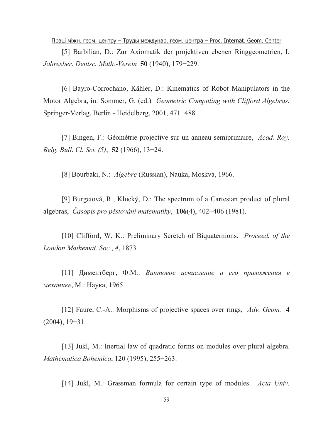<u>Праці міжн. геом. центру – Труды междунар. геом. центра – Proc. Internat. Geom. Center</u>

[5] Barbilian, D.: Zur Axiomatik der projektiven ebenen Ringgeometrien, I, *Jahresber. Deutsc. Math.-Verein* **50** (1940), 179−229.

[6] Bayro-Corrochano, Kähler, D.: Kinematics of Robot Manipulators in the Motor Algebra, in: Sommer, G. (ed.) *Geometric Computing with Clifford Algebras.* Springer-Verlag, Berlin - Heidelberg, 2001, 471−488.

[7] Bingen, F.: Géométrie projective sur un anneau semiprimaire, *Acad. Roy. Belg. Bull. Cl. Sci. (5)*, **52** (1966), 13−24.

[8] Bourbaki, N.: *Algebre* (Russian), Nauka, Moskva, 1966.

[9] Burgetová, R., Klucký, D.: The spectrum of a Cartesian product of plural algebras, *-asopis pro p.stování matematiky*, **106**(4), 402−406 (1981).

[10] Clifford, W. K.: Preliminary Scretch of Biquaternions. *Proceed. of the London Mathemat. Soc.*, *4*, 1873.

[11] Диментберг, Ф.М.: Винтовое исчисление и его приложения в *механике*, М.: Наука, 1965.

[12] Faure, C.-A.: Morphisms of projective spaces over rings, *Adv. Geom.* **4** (2004), 19−31.

[13] Jukl, M.: Inertial law of quadratic forms on modules over plural algebra. *Mathematica Bohemica*, 120 (1995), 255−263.

[14] Jukl, M.: Grassman formula for certain type of modules. *Acta Univ.*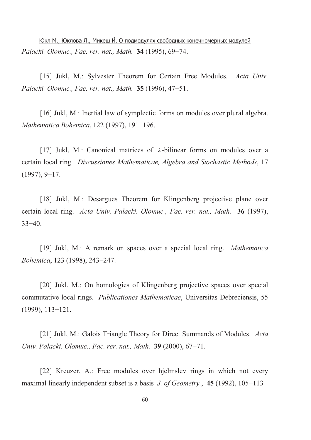<u>Юкл М., Юклова Л., Микеш Й. О подмодулях свободных конечномерных модулей</u> *Palacki. Olomuc., Fac. rer. nat., Math.* **34** (1995), 69−74.

[15] Jukl, M.: Sylvester Theorem for Certain Free Modules. *Acta Univ. Palacki. Olomuc., Fac. rer. nat., Math.* **35** (1996), 47−51.

[16] Jukl, M.: Inertial law of symplectic forms on modules over plural algebra. *Mathematica Bohemica*, 122 (1997), 191−196.

[17] Jukl, M.: Canonical matrices of  $\lambda$ -bilinear forms on modules over a certain local ring. *Discussiones Mathematicae, Algebra and Stochastic Methods*, 17 (1997), 9−17.

[18] Jukl, M.: Desargues Theorem for Klingenberg projective plane over certain local ring. *Acta Univ. Palacki. Olomuc., Fac. rer. nat., Math.* **36** (1997), 33−40.

[19] Jukl, M.: A remark on spaces over a special local ring. *Mathematica Bohemica*, 123 (1998), 243−247.

[20] Jukl, M.: On homologies of Klingenberg projective spaces over special commutative local rings. *Publicationes Mathematicae*, Universitas Debreciensis, 55 (1999), 113−121.

[21] Jukl, M.: Galois Triangle Theory for Direct Summands of Modules. *Acta Univ. Palacki. Olomuc., Fac. rer. nat., Math.* **39** (2000), 67−71.

[22] Kreuzer, A.: Free modules over hjelmslev rings in which not every maximal linearly independent subset is a basis *J. of Geometry.*, **45** (1992), 105−113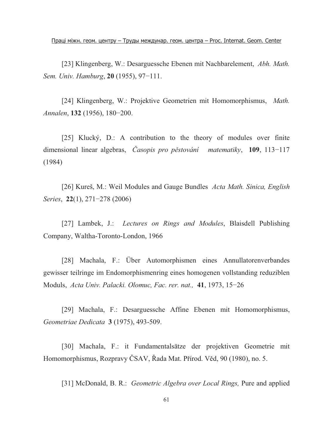<u>Праці міжн. геом. центру – Труды междунар. геом. центра – Proc. Internat. Geom. Center</u>

[23] Klingenberg, W.: Desarguessche Ebenen mit Nachbarelement, *Abh. Math. Sem. Univ. Hamburg*, **20** (1955), 97−111.

[24] Klingenberg, W.: Projektive Geometrien mit Homomorphismus, *Math. Annalen*, **132** (1956), 180−200.

[25] Klucký, D.: A contribution to the theory of modules over finite dimensional linear algebras, *-asopis pro p.stování matematiky*, **109**, 113−117 (1984)

[26] Kureš, M.: Weil Modules and Gauge Bundles *Acta Math. Sinica, English Series*, **22**(1), 271−278 (2006)

[27] Lambek, J.: *Lectures on Rings and Modules*, Blaisdell Publishing Company, Waltha-Toronto-London, 1966

[28] Machala, F.: Über Automorphismen eines Annullatorenverbandes gewisser teilringe im Endomorphismenring eines homogenen vollstanding reduziblen Moduls, *Acta Univ. Palacki. Olomuc, Fac. rer. nat.,* **41**, 1973, 15−26

[29] Machala, F.: Desarguessche Affine Ebenen mit Homomorphismus, *Geometriae Dedicata* **3** (1975), 493-509.

[30] Machala, F.: it Fundamentalsätze der projektiven Geometrie mit Homomorphismus, Rozpravy ČSAV, Řada Mat. Přírod. Věd, 90 (1980), no. 5.

[31] McDonald, B. R.: *Geometric Algebra over Local Rings,* Pure and applied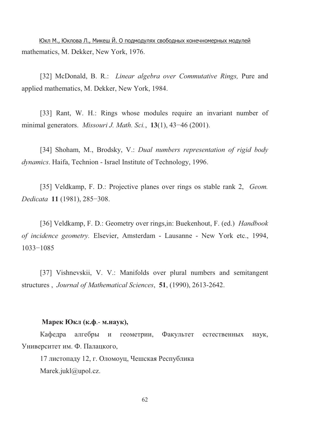<u>Юкл М., Юклова Л., Микеш Й. О подмодулях свободных конечномерных модулей</u> mathematics, M. Dekker, New York, 1976.

[32] McDonald, B. R.: *Linear algebra over Commutative Rings,* Pure and applied mathematics, M. Dekker, New York, 1984.

[33] Rant, W. H.: Rings whose modules require an invariant number of minimal generators. *Missouri J. Math. Sci.*, **13**(1), 43−46 (2001).

[34] Shoham, M., Brodsky, V.: *Dual numbers representation of rigid body dynamics*. Haifa, Technion - Israel Institute of Technology, 1996.

[35] Veldkamp, F. D.: Projective planes over rings os stable rank 2, *Geom. Dedicata* **11** (1981), 285−308.

[36] Veldkamp, F. D.: Geometry over rings,in: Buekenhout, F. (ed.) *Handbook of incidence geometry.* Elsevier, Amsterdam - Lausanne - New York etc., 1994, 1033−1085

[37] Vishnevskii, V. V.: Manifolds over plural numbers and semitangent structures , *Journal of Mathematical Sciences*, **51**, (1990), 2613-2642.

### **Марек Юкл (к.ф.**- м.наук),

Кафедра алгебры и гео метрии, Факультет естественных на наук, Университет им. Ф. Палацкого,

17 листопаду 12, г. Оломоуц, Чешская Республика Marek.jukl@upol.cz.